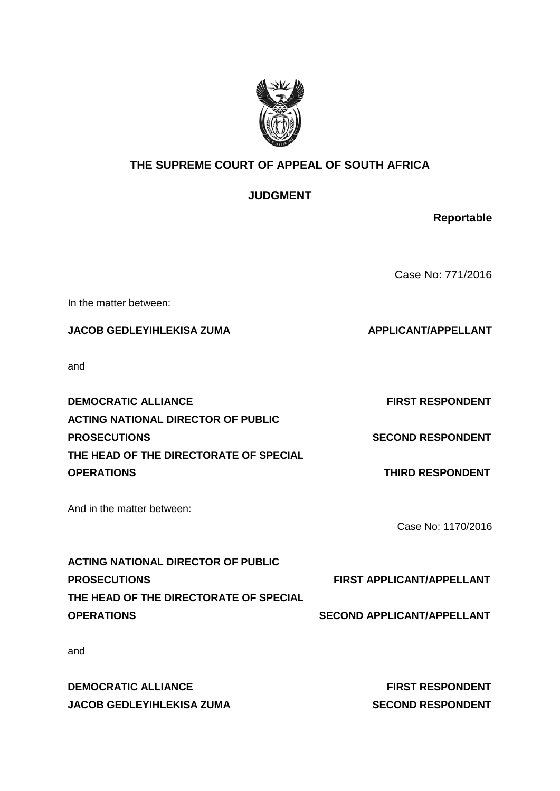

# **THE SUPREME COURT OF APPEAL OF SOUTH AFRICA**

# **JUDGMENT**

**Reportable**

Case No: 771/2016

In the matter between:

**JACOB GEDLEYIHLEKISA ZUMA APPLICANT/APPELLANT** 

and

**DEMOCRATIC ALLIANCE FIRST RESPONDENT ACTING NATIONAL DIRECTOR OF PUBLIC PROSECUTIONS SECOND RESPONDENT THE HEAD OF THE DIRECTORATE OF SPECIAL OPERATIONS THIRD RESPONDENT** 

And in the matter between:

Case No: 1170/2016

| <b>FIRST APPLICANT/APPELLANT</b>  |
|-----------------------------------|
|                                   |
| <b>SECOND APPLICANT/APPELLANT</b> |
|                                   |

and

**DEMOCRATIC ALLIANCE FIRST RESPONDENT JACOB GEDLEYIHLEKISA ZUMA SECOND RESPONDENT**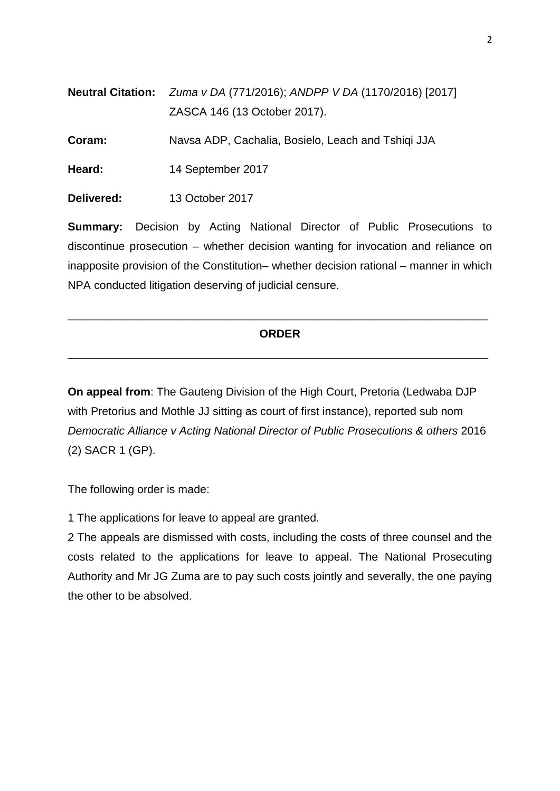| <b>Neutral Citation:</b> <i>Zuma v DA</i> (771/2016); ANDPP V DA (1170/2016) [2017] |
|-------------------------------------------------------------------------------------|
| ZASCA 146 (13 October 2017).                                                        |

**Coram:** Navsa ADP, Cachalia, Bosielo, Leach and Tshiqi JJA

**Heard:** 14 September 2017

**Delivered:** 13 October 2017

**Summary:** Decision by Acting National Director of Public Prosecutions to discontinue prosecution – whether decision wanting for invocation and reliance on inapposite provision of the Constitution– whether decision rational – manner in which NPA conducted litigation deserving of judicial censure.

# **ORDER**

\_\_\_\_\_\_\_\_\_\_\_\_\_\_\_\_\_\_\_\_\_\_\_\_\_\_\_\_\_\_\_\_\_\_\_\_\_\_\_\_\_\_\_\_\_\_\_\_\_\_\_\_\_\_\_\_\_\_\_\_\_\_\_\_\_\_\_

\_\_\_\_\_\_\_\_\_\_\_\_\_\_\_\_\_\_\_\_\_\_\_\_\_\_\_\_\_\_\_\_\_\_\_\_\_\_\_\_\_\_\_\_\_\_\_\_\_\_\_\_\_\_\_\_\_\_\_\_\_\_\_\_\_\_\_

**On appeal from**: The Gauteng Division of the High Court, Pretoria (Ledwaba DJP with Pretorius and Mothle JJ sitting as court of first instance), reported sub nom *Democratic Alliance v Acting National Director of Public Prosecutions & others* 2016 (2) SACR 1 (GP).

The following order is made:

1 The applications for leave to appeal are granted.

2 The appeals are dismissed with costs, including the costs of three counsel and the costs related to the applications for leave to appeal. The National Prosecuting Authority and Mr JG Zuma are to pay such costs jointly and severally, the one paying the other to be absolved.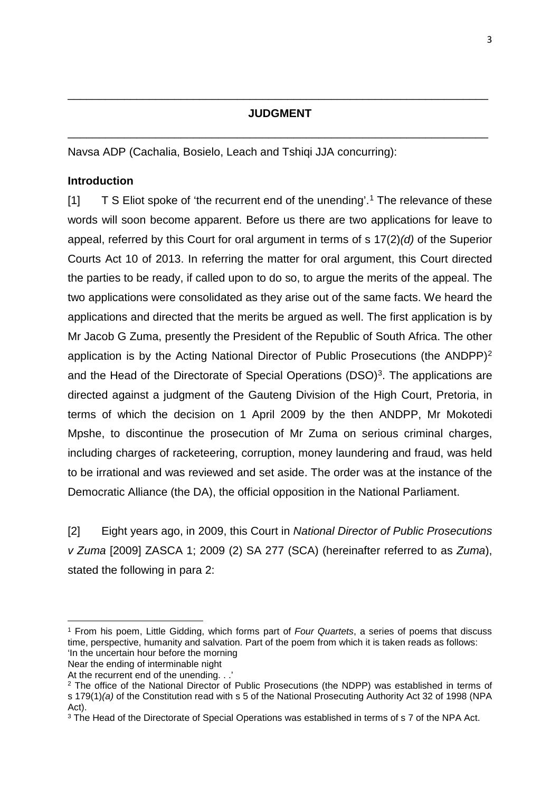# **JUDGMENT**

\_\_\_\_\_\_\_\_\_\_\_\_\_\_\_\_\_\_\_\_\_\_\_\_\_\_\_\_\_\_\_\_\_\_\_\_\_\_\_\_\_\_\_\_\_\_\_\_\_\_\_\_\_\_\_\_\_\_\_\_\_\_\_\_\_\_\_

\_\_\_\_\_\_\_\_\_\_\_\_\_\_\_\_\_\_\_\_\_\_\_\_\_\_\_\_\_\_\_\_\_\_\_\_\_\_\_\_\_\_\_\_\_\_\_\_\_\_\_\_\_\_\_\_\_\_\_\_\_\_\_\_\_\_\_

Navsa ADP (Cachalia, Bosielo, Leach and Tshiqi JJA concurring):

# **Introduction**

 $[1]$  $[1]$  $[1]$  T S Eliot spoke of 'the recurrent end of the unending'.<sup>1</sup> The relevance of these words will soon become apparent. Before us there are two applications for leave to appeal, referred by this Court for oral argument in terms of s 17(2)*(d)* of the Superior Courts Act 10 of 2013. In referring the matter for oral argument, this Court directed the parties to be ready, if called upon to do so, to argue the merits of the appeal. The two applications were consolidated as they arise out of the same facts. We heard the applications and directed that the merits be argued as well. The first application is by Mr Jacob G Zuma, presently the President of the Republic of South Africa. The other application is by the Acting National Director of Public Prosecutions (the ANDPP)<sup>[2](#page-2-1)</sup> and the Head of the Directorate of Special Operations (DSO)<sup>[3](#page-2-2)</sup>. The applications are directed against a judgment of the Gauteng Division of the High Court, Pretoria, in terms of which the decision on 1 April 2009 by the then ANDPP, Mr Mokotedi Mpshe, to discontinue the prosecution of Mr Zuma on serious criminal charges, including charges of racketeering, corruption, money laundering and fraud, was held to be irrational and was reviewed and set aside. The order was at the instance of the Democratic Alliance (the DA), the official opposition in the National Parliament.

[2] Eight years ago, in 2009, this Court in *National Director of Public Prosecutions v Zuma* [2009] ZASCA 1; 2009 (2) SA 277 (SCA) (hereinafter referred to as *Zuma*), stated the following in para 2:

**.** 

<span id="page-2-0"></span><sup>1</sup> From his poem, Little Gidding, which forms part of *Four Quartets*, a series of poems that discuss time, perspective, humanity and salvation. Part of the poem from which it is taken reads as follows: 'In the uncertain hour before the morning

Near the ending of interminable night

At the recurrent end of the unending. . .<sup>'</sup>

<span id="page-2-1"></span><sup>2</sup> The office of the National Director of Public Prosecutions (the NDPP) was established in terms of s 179(1)*(a)* of the Constitution read with s 5 of the National Prosecuting Authority Act 32 of 1998 (NPA Act).

<span id="page-2-2"></span><sup>&</sup>lt;sup>3</sup> The Head of the Directorate of Special Operations was established in terms of s 7 of the NPA Act.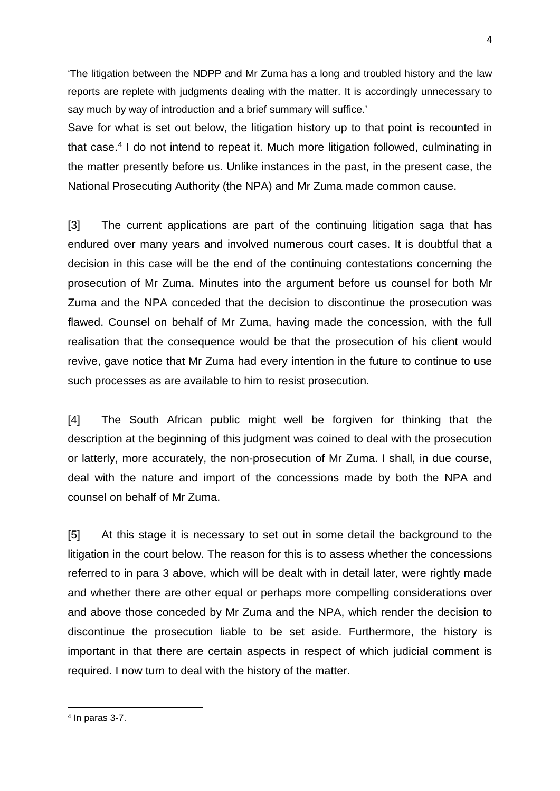'The litigation between the NDPP and Mr Zuma has a long and troubled history and the law reports are replete with judgments dealing with the matter. It is accordingly unnecessary to say much by way of introduction and a brief summary will suffice.'

Save for what is set out below, the litigation history up to that point is recounted in that case.[4](#page-3-0) I do not intend to repeat it. Much more litigation followed, culminating in the matter presently before us. Unlike instances in the past, in the present case, the National Prosecuting Authority (the NPA) and Mr Zuma made common cause.

[3] The current applications are part of the continuing litigation saga that has endured over many years and involved numerous court cases. It is doubtful that a decision in this case will be the end of the continuing contestations concerning the prosecution of Mr Zuma. Minutes into the argument before us counsel for both Mr Zuma and the NPA conceded that the decision to discontinue the prosecution was flawed. Counsel on behalf of Mr Zuma, having made the concession, with the full realisation that the consequence would be that the prosecution of his client would revive, gave notice that Mr Zuma had every intention in the future to continue to use such processes as are available to him to resist prosecution.

[4] The South African public might well be forgiven for thinking that the description at the beginning of this judgment was coined to deal with the prosecution or latterly, more accurately, the non-prosecution of Mr Zuma. I shall, in due course, deal with the nature and import of the concessions made by both the NPA and counsel on behalf of Mr Zuma.

[5] At this stage it is necessary to set out in some detail the background to the litigation in the court below. The reason for this is to assess whether the concessions referred to in para 3 above, which will be dealt with in detail later, were rightly made and whether there are other equal or perhaps more compelling considerations over and above those conceded by Mr Zuma and the NPA, which render the decision to discontinue the prosecution liable to be set aside. Furthermore, the history is important in that there are certain aspects in respect of which judicial comment is required. I now turn to deal with the history of the matter.

 $\overline{a}$ 

<span id="page-3-0"></span> $4$  In paras 3-7.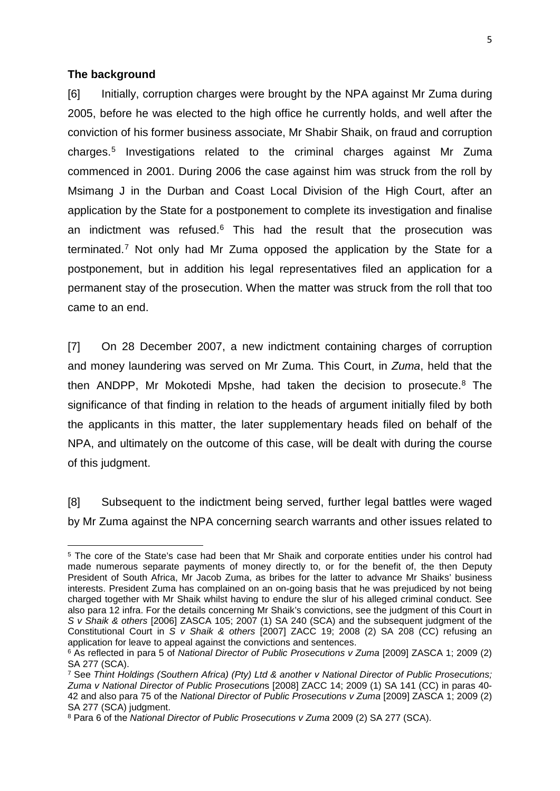#### **The background**

 $\overline{a}$ 

[6] Initially, corruption charges were brought by the NPA against Mr Zuma during 2005, before he was elected to the high office he currently holds, and well after the conviction of his former business associate, Mr Shabir Shaik, on fraud and corruption charges. [5](#page-4-0) Investigations related to the criminal charges against Mr Zuma commenced in 2001. During 2006 the case against him was struck from the roll by Msimang J in the Durban and Coast Local Division of the High Court, after an application by the State for a postponement to complete its investigation and finalise an indictment was refused. [6](#page-4-1) This had the result that the prosecution was terminated. [7](#page-4-2) Not only had Mr Zuma opposed the application by the State for a postponement, but in addition his legal representatives filed an application for a permanent stay of the prosecution. When the matter was struck from the roll that too came to an end.

[7] On 28 December 2007, a new indictment containing charges of corruption and money laundering was served on Mr Zuma. This Court, in *Zuma*, held that the then ANDPP, Mr Mokotedi Mpshe, had taken the decision to prosecute. $8$  The significance of that finding in relation to the heads of argument initially filed by both the applicants in this matter, the later supplementary heads filed on behalf of the NPA, and ultimately on the outcome of this case, will be dealt with during the course of this judgment.

[8] Subsequent to the indictment being served, further legal battles were waged by Mr Zuma against the NPA concerning search warrants and other issues related to

<span id="page-4-0"></span><sup>5</sup> The core of the State's case had been that Mr Shaik and corporate entities under his control had made numerous separate payments of money directly to, or for the benefit of, the then Deputy President of South Africa, Mr Jacob Zuma, as bribes for the latter to advance Mr Shaiks' business interests. President Zuma has complained on an on-going basis that he was prejudiced by not being charged together with Mr Shaik whilst having to endure the slur of his alleged criminal conduct. See also para 12 infra. For the details concerning Mr Shaik's convictions, see the judgment of this Court in *S v Shaik & others* [2006] ZASCA 105; 2007 (1) SA 240 (SCA) and the subsequent judgment of the Constitutional Court in *S v Shaik & others* [2007] ZACC 19; 2008 (2) SA 208 (CC) refusing an application for leave to appeal against the convictions and sentences.

<span id="page-4-1"></span><sup>&</sup>lt;sup>6</sup> As reflected in para 5 of *National Director of Public Prosecutions v Zuma* [2009] ZASCA 1; 2009 (2) SA 277 (SCA).

<span id="page-4-2"></span><sup>7</sup> See *Thint Holdings (Southern Africa) (Pty) Ltd & another v National Director of Public Prosecutions; Zuma v National Director of Public Prosecution*s [2008] ZACC 14; 2009 (1) SA 141 (CC) in paras 40- 42 and also para 75 of the *National Director of Public Prosecutions v Zuma* [2009] ZASCA 1; 2009 (2) SA 277 (SCA) judgment.

<span id="page-4-3"></span><sup>8</sup> Para 6 of the *National Director of Public Prosecutions v Zuma* 2009 (2) SA 277 (SCA).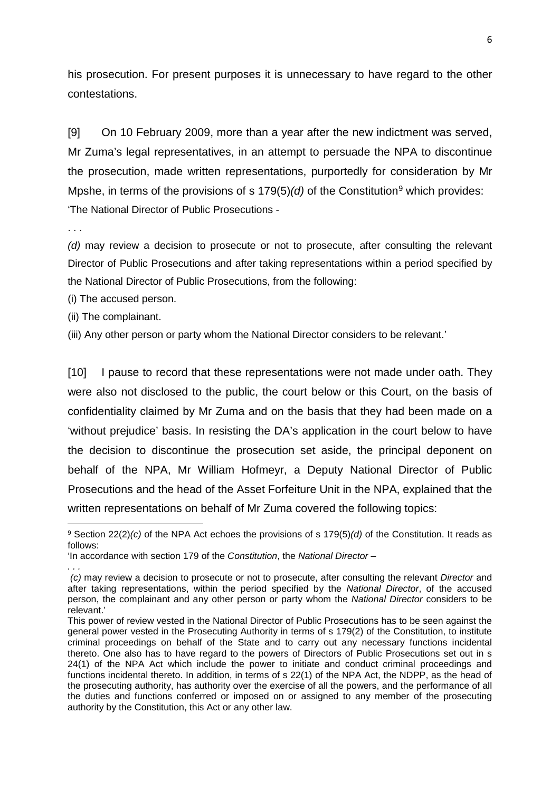his prosecution. For present purposes it is unnecessary to have regard to the other contestations.

[9] On 10 February 2009, more than a year after the new indictment was served, Mr Zuma's legal representatives, in an attempt to persuade the NPA to discontinue the prosecution, made written representations, purportedly for consideration by Mr Mpshe, in terms of the provisions of s 17[9](#page-5-0)(5)(d) of the Constitution<sup>9</sup> which provides: 'The National Director of Public Prosecutions -

. . .

**.** 

*. . .*

*(d)* may review a decision to prosecute or not to prosecute, after consulting the relevant Director of Public Prosecutions and after taking representations within a period specified by the National Director of Public Prosecutions, from the following:

(i) The accused person.

(ii) The complainant.

(iii) Any other person or party whom the National Director considers to be relevant.'

[10] I pause to record that these representations were not made under oath. They were also not disclosed to the public, the court below or this Court, on the basis of confidentiality claimed by Mr Zuma and on the basis that they had been made on a 'without prejudice' basis. In resisting the DA's application in the court below to have the decision to discontinue the prosecution set aside, the principal deponent on behalf of the NPA, Mr William Hofmeyr, a Deputy National Director of Public Prosecutions and the head of the Asset Forfeiture Unit in the NPA, explained that the written representations on behalf of Mr Zuma covered the following topics:

<span id="page-5-0"></span><sup>9</sup> Section 22(2)*(c)* of the NPA Act echoes the provisions of s 179(5)*(d)* of the Constitution. It reads as follows:

<sup>&#</sup>x27;In accordance with section 179 of the *Constitution*, the *National Director* –

*<sup>(</sup>c)* may review a decision to prosecute or not to prosecute, after consulting the relevant *Director* and after taking representations, within the period specified by the *National Director*, of the accused person, the complainant and any other person or party whom the *National Director* considers to be relevant.'

This power of review vested in the National Director of Public Prosecutions has to be seen against the general power vested in the Prosecuting Authority in terms of s 179(2) of the Constitution, to institute criminal proceedings on behalf of the State and to carry out any necessary functions incidental thereto. One also has to have regard to the powers of Directors of Public Prosecutions set out in s 24(1) of the NPA Act which include the power to initiate and conduct criminal proceedings and functions incidental thereto. In addition, in terms of s 22(1) of the NPA Act, the NDPP, as the head of the prosecuting authority, has authority over the exercise of all the powers, and the performance of all the duties and functions conferred or imposed on or assigned to any member of the prosecuting authority by the Constitution, this Act or any other law.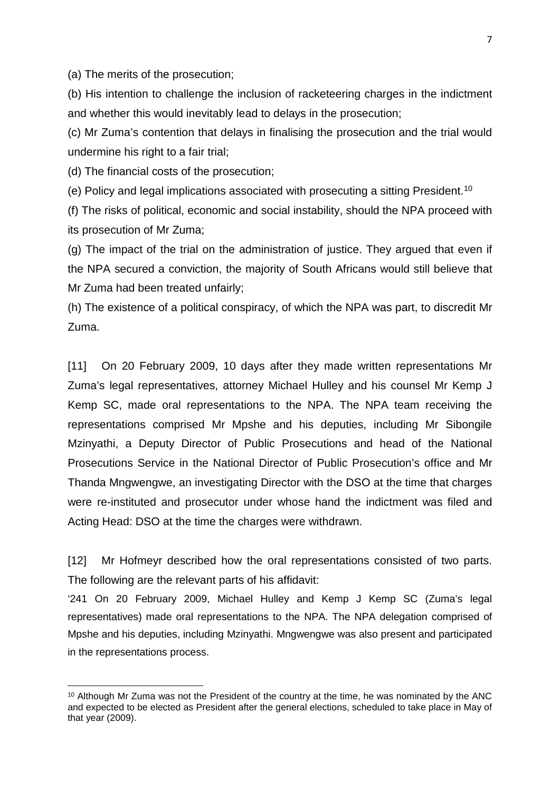(a) The merits of the prosecution;

(b) His intention to challenge the inclusion of racketeering charges in the indictment and whether this would inevitably lead to delays in the prosecution;

(c) Mr Zuma's contention that delays in finalising the prosecution and the trial would undermine his right to a fair trial;

(d) The financial costs of the prosecution;

**.** 

(e) Policy and legal implications associated with prosecuting a sitting President[.10](#page-6-0)

(f) The risks of political, economic and social instability, should the NPA proceed with its prosecution of Mr Zuma;

(g) The impact of the trial on the administration of justice. They argued that even if the NPA secured a conviction, the majority of South Africans would still believe that Mr Zuma had been treated unfairly;

(h) The existence of a political conspiracy, of which the NPA was part, to discredit Mr Zuma.

[11] On 20 February 2009, 10 days after they made written representations Mr Zuma's legal representatives, attorney Michael Hulley and his counsel Mr Kemp J Kemp SC, made oral representations to the NPA. The NPA team receiving the representations comprised Mr Mpshe and his deputies, including Mr Sibongile Mzinyathi, a Deputy Director of Public Prosecutions and head of the National Prosecutions Service in the National Director of Public Prosecution's office and Mr Thanda Mngwengwe, an investigating Director with the DSO at the time that charges were re-instituted and prosecutor under whose hand the indictment was filed and Acting Head: DSO at the time the charges were withdrawn.

[12] Mr Hofmeyr described how the oral representations consisted of two parts. The following are the relevant parts of his affidavit:

'241 On 20 February 2009, Michael Hulley and Kemp J Kemp SC (Zuma's legal representatives) made oral representations to the NPA. The NPA delegation comprised of Mpshe and his deputies, including Mzinyathi. Mngwengwe was also present and participated in the representations process.

<span id="page-6-0"></span><sup>10</sup> Although Mr Zuma was not the President of the country at the time, he was nominated by the ANC and expected to be elected as President after the general elections, scheduled to take place in May of that year (2009).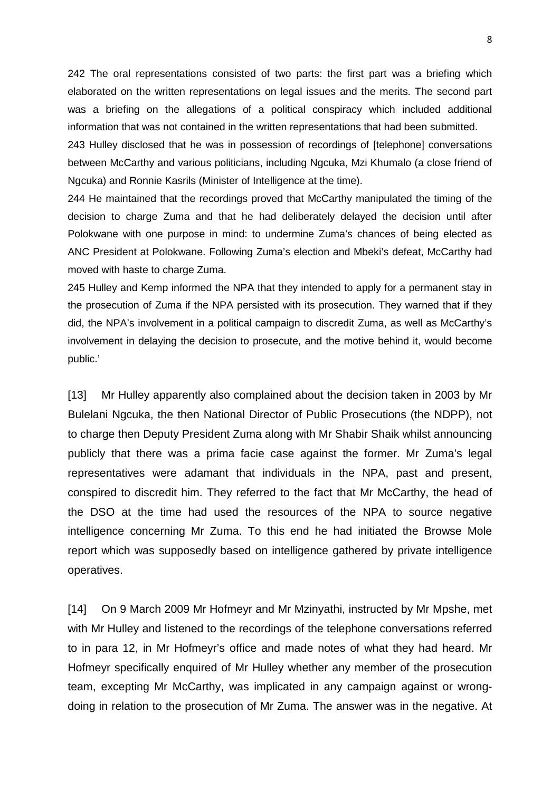242 The oral representations consisted of two parts: the first part was a briefing which elaborated on the written representations on legal issues and the merits. The second part was a briefing on the allegations of a political conspiracy which included additional information that was not contained in the written representations that had been submitted.

243 Hulley disclosed that he was in possession of recordings of [telephone] conversations between McCarthy and various politicians, including Ngcuka, Mzi Khumalo (a close friend of Ngcuka) and Ronnie Kasrils (Minister of Intelligence at the time).

244 He maintained that the recordings proved that McCarthy manipulated the timing of the decision to charge Zuma and that he had deliberately delayed the decision until after Polokwane with one purpose in mind: to undermine Zuma's chances of being elected as ANC President at Polokwane. Following Zuma's election and Mbeki's defeat, McCarthy had moved with haste to charge Zuma.

245 Hulley and Kemp informed the NPA that they intended to apply for a permanent stay in the prosecution of Zuma if the NPA persisted with its prosecution. They warned that if they did, the NPA's involvement in a political campaign to discredit Zuma, as well as McCarthy's involvement in delaying the decision to prosecute, and the motive behind it, would become public.'

[13] Mr Hulley apparently also complained about the decision taken in 2003 by Mr Bulelani Ngcuka, the then National Director of Public Prosecutions (the NDPP), not to charge then Deputy President Zuma along with Mr Shabir Shaik whilst announcing publicly that there was a prima facie case against the former. Mr Zuma's legal representatives were adamant that individuals in the NPA, past and present, conspired to discredit him. They referred to the fact that Mr McCarthy, the head of the DSO at the time had used the resources of the NPA to source negative intelligence concerning Mr Zuma. To this end he had initiated the Browse Mole report which was supposedly based on intelligence gathered by private intelligence operatives.

[14] On 9 March 2009 Mr Hofmeyr and Mr Mzinyathi, instructed by Mr Mpshe, met with Mr Hulley and listened to the recordings of the telephone conversations referred to in para 12, in Mr Hofmeyr's office and made notes of what they had heard. Mr Hofmeyr specifically enquired of Mr Hulley whether any member of the prosecution team, excepting Mr McCarthy, was implicated in any campaign against or wrongdoing in relation to the prosecution of Mr Zuma. The answer was in the negative. At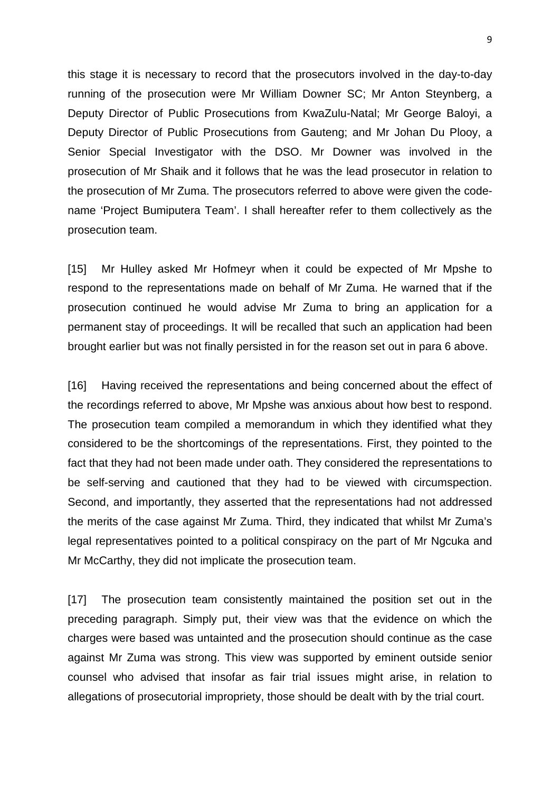this stage it is necessary to record that the prosecutors involved in the day-to-day running of the prosecution were Mr William Downer SC; Mr Anton Steynberg, a Deputy Director of Public Prosecutions from KwaZulu-Natal; Mr George Baloyi, a Deputy Director of Public Prosecutions from Gauteng; and Mr Johan Du Plooy, a Senior Special Investigator with the DSO. Mr Downer was involved in the prosecution of Mr Shaik and it follows that he was the lead prosecutor in relation to the prosecution of Mr Zuma. The prosecutors referred to above were given the codename 'Project Bumiputera Team'. I shall hereafter refer to them collectively as the prosecution team.

[15] Mr Hulley asked Mr Hofmeyr when it could be expected of Mr Mpshe to respond to the representations made on behalf of Mr Zuma. He warned that if the prosecution continued he would advise Mr Zuma to bring an application for a permanent stay of proceedings. It will be recalled that such an application had been brought earlier but was not finally persisted in for the reason set out in para 6 above.

[16] Having received the representations and being concerned about the effect of the recordings referred to above, Mr Mpshe was anxious about how best to respond. The prosecution team compiled a memorandum in which they identified what they considered to be the shortcomings of the representations. First, they pointed to the fact that they had not been made under oath. They considered the representations to be self-serving and cautioned that they had to be viewed with circumspection. Second, and importantly, they asserted that the representations had not addressed the merits of the case against Mr Zuma. Third, they indicated that whilst Mr Zuma's legal representatives pointed to a political conspiracy on the part of Mr Ngcuka and Mr McCarthy, they did not implicate the prosecution team.

[17] The prosecution team consistently maintained the position set out in the preceding paragraph. Simply put, their view was that the evidence on which the charges were based was untainted and the prosecution should continue as the case against Mr Zuma was strong. This view was supported by eminent outside senior counsel who advised that insofar as fair trial issues might arise, in relation to allegations of prosecutorial impropriety, those should be dealt with by the trial court.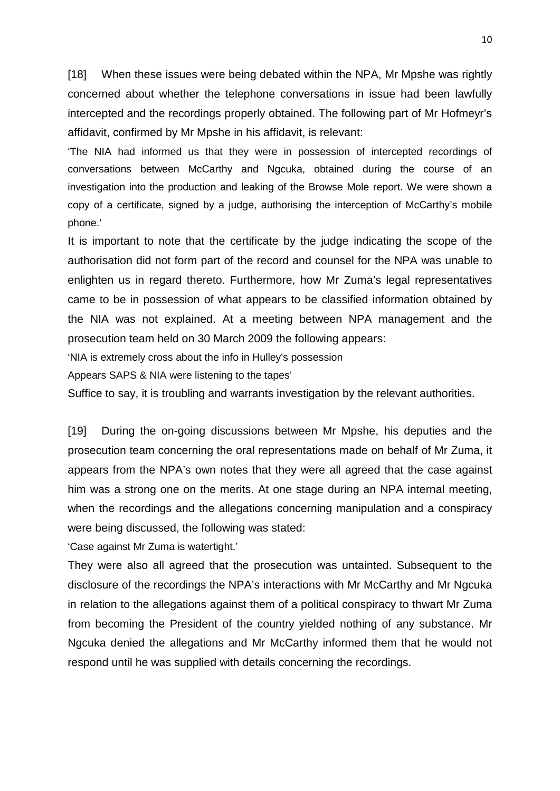[18] When these issues were being debated within the NPA, Mr Mpshe was rightly concerned about whether the telephone conversations in issue had been lawfully intercepted and the recordings properly obtained. The following part of Mr Hofmeyr's affidavit, confirmed by Mr Mpshe in his affidavit, is relevant:

'The NIA had informed us that they were in possession of intercepted recordings of conversations between McCarthy and Ngcuka, obtained during the course of an investigation into the production and leaking of the Browse Mole report. We were shown a copy of a certificate, signed by a judge, authorising the interception of McCarthy's mobile phone.'

It is important to note that the certificate by the judge indicating the scope of the authorisation did not form part of the record and counsel for the NPA was unable to enlighten us in regard thereto. Furthermore, how Mr Zuma's legal representatives came to be in possession of what appears to be classified information obtained by the NIA was not explained. At a meeting between NPA management and the prosecution team held on 30 March 2009 the following appears:

'NIA is extremely cross about the info in Hulley's possession

Appears SAPS & NIA were listening to the tapes'

Suffice to say, it is troubling and warrants investigation by the relevant authorities.

[19] During the on-going discussions between Mr Mpshe, his deputies and the prosecution team concerning the oral representations made on behalf of Mr Zuma, it appears from the NPA's own notes that they were all agreed that the case against him was a strong one on the merits. At one stage during an NPA internal meeting, when the recordings and the allegations concerning manipulation and a conspiracy were being discussed, the following was stated:

'Case against Mr Zuma is watertight.'

They were also all agreed that the prosecution was untainted. Subsequent to the disclosure of the recordings the NPA's interactions with Mr McCarthy and Mr Ngcuka in relation to the allegations against them of a political conspiracy to thwart Mr Zuma from becoming the President of the country yielded nothing of any substance. Mr Ngcuka denied the allegations and Mr McCarthy informed them that he would not respond until he was supplied with details concerning the recordings.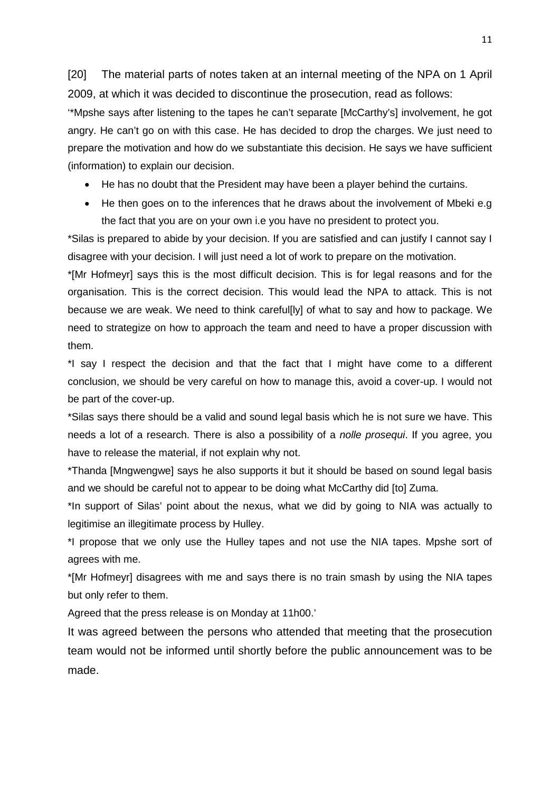[20] The material parts of notes taken at an internal meeting of the NPA on 1 April 2009, at which it was decided to discontinue the prosecution, read as follows:

'\*Mpshe says after listening to the tapes he can't separate [McCarthy's] involvement, he got angry. He can't go on with this case. He has decided to drop the charges. We just need to prepare the motivation and how do we substantiate this decision. He says we have sufficient (information) to explain our decision.

- He has no doubt that the President may have been a player behind the curtains.
- He then goes on to the inferences that he draws about the involvement of Mbeki e.g the fact that you are on your own i.e you have no president to protect you.

\*Silas is prepared to abide by your decision. If you are satisfied and can justify I cannot say I disagree with your decision. I will just need a lot of work to prepare on the motivation.

\*[Mr Hofmeyr] says this is the most difficult decision. This is for legal reasons and for the organisation. This is the correct decision. This would lead the NPA to attack. This is not because we are weak. We need to think careful[ly] of what to say and how to package. We need to strategize on how to approach the team and need to have a proper discussion with them.

\*I say I respect the decision and that the fact that I might have come to a different conclusion, we should be very careful on how to manage this, avoid a cover-up. I would not be part of the cover-up.

\*Silas says there should be a valid and sound legal basis which he is not sure we have. This needs a lot of a research. There is also a possibility of a *nolle prosequi*. If you agree, you have to release the material, if not explain why not.

\*Thanda [Mngwengwe] says he also supports it but it should be based on sound legal basis and we should be careful not to appear to be doing what McCarthy did [to] Zuma.

\*In support of Silas' point about the nexus, what we did by going to NIA was actually to legitimise an illegitimate process by Hulley.

\*I propose that we only use the Hulley tapes and not use the NIA tapes. Mpshe sort of agrees with me.

\*[Mr Hofmeyr] disagrees with me and says there is no train smash by using the NIA tapes but only refer to them.

Agreed that the press release is on Monday at 11h00.'

It was agreed between the persons who attended that meeting that the prosecution team would not be informed until shortly before the public announcement was to be made.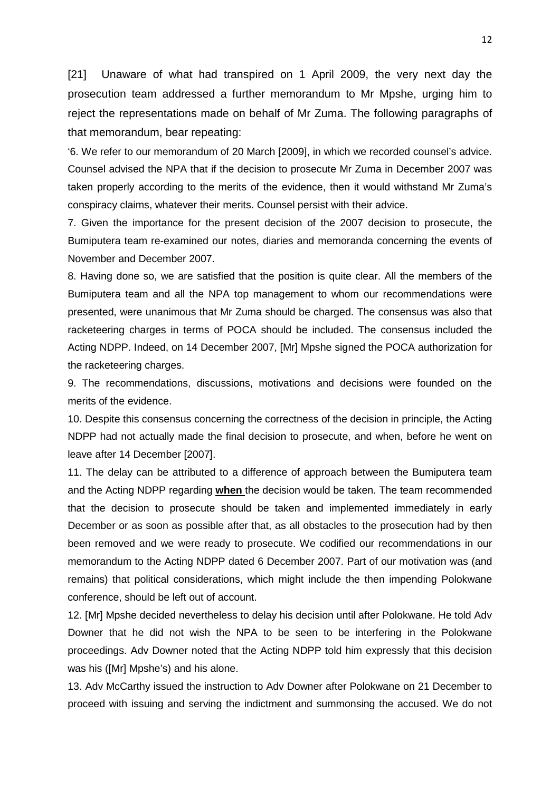[21] Unaware of what had transpired on 1 April 2009, the very next day the prosecution team addressed a further memorandum to Mr Mpshe, urging him to reject the representations made on behalf of Mr Zuma. The following paragraphs of that memorandum, bear repeating:

'6. We refer to our memorandum of 20 March [2009], in which we recorded counsel's advice. Counsel advised the NPA that if the decision to prosecute Mr Zuma in December 2007 was taken properly according to the merits of the evidence, then it would withstand Mr Zuma's conspiracy claims, whatever their merits. Counsel persist with their advice.

7. Given the importance for the present decision of the 2007 decision to prosecute, the Bumiputera team re-examined our notes, diaries and memoranda concerning the events of November and December 2007.

8. Having done so, we are satisfied that the position is quite clear. All the members of the Bumiputera team and all the NPA top management to whom our recommendations were presented, were unanimous that Mr Zuma should be charged. The consensus was also that racketeering charges in terms of POCA should be included. The consensus included the Acting NDPP. Indeed, on 14 December 2007, [Mr] Mpshe signed the POCA authorization for the racketeering charges.

9. The recommendations, discussions, motivations and decisions were founded on the merits of the evidence.

10. Despite this consensus concerning the correctness of the decision in principle, the Acting NDPP had not actually made the final decision to prosecute, and when, before he went on leave after 14 December [2007].

11. The delay can be attributed to a difference of approach between the Bumiputera team and the Acting NDPP regarding **when** the decision would be taken. The team recommended that the decision to prosecute should be taken and implemented immediately in early December or as soon as possible after that, as all obstacles to the prosecution had by then been removed and we were ready to prosecute. We codified our recommendations in our memorandum to the Acting NDPP dated 6 December 2007. Part of our motivation was (and remains) that political considerations, which might include the then impending Polokwane conference, should be left out of account.

12. [Mr] Mpshe decided nevertheless to delay his decision until after Polokwane. He told Adv Downer that he did not wish the NPA to be seen to be interfering in the Polokwane proceedings. Adv Downer noted that the Acting NDPP told him expressly that this decision was his ([Mr] Mpshe's) and his alone.

13. Adv McCarthy issued the instruction to Adv Downer after Polokwane on 21 December to proceed with issuing and serving the indictment and summonsing the accused. We do not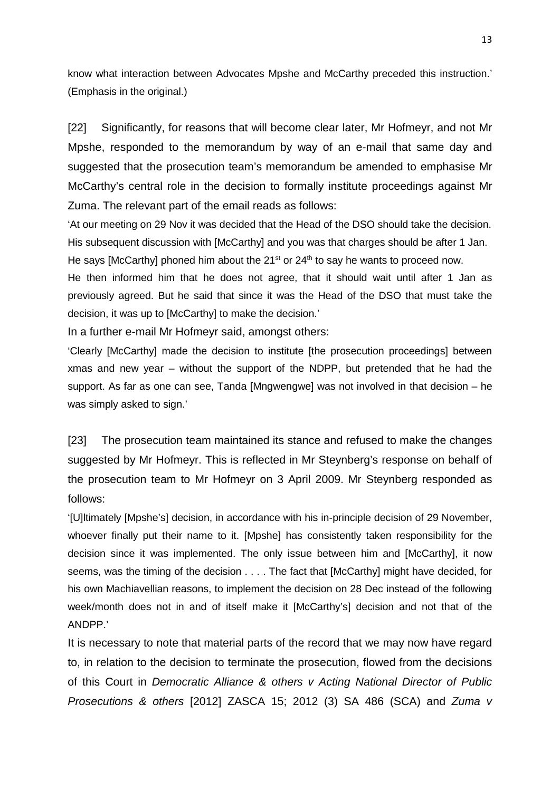know what interaction between Advocates Mpshe and McCarthy preceded this instruction.' (Emphasis in the original.)

[22] Significantly, for reasons that will become clear later, Mr Hofmeyr, and not Mr Mpshe, responded to the memorandum by way of an e-mail that same day and suggested that the prosecution team's memorandum be amended to emphasise Mr McCarthy's central role in the decision to formally institute proceedings against Mr Zuma. The relevant part of the email reads as follows:

'At our meeting on 29 Nov it was decided that the Head of the DSO should take the decision. His subsequent discussion with [McCarthy] and you was that charges should be after 1 Jan. He says [McCarthy] phoned him about the  $21<sup>st</sup>$  or  $24<sup>th</sup>$  to say he wants to proceed now.

He then informed him that he does not agree, that it should wait until after 1 Jan as previously agreed. But he said that since it was the Head of the DSO that must take the decision, it was up to [McCarthy] to make the decision.'

In a further e-mail Mr Hofmeyr said, amongst others:

'Clearly [McCarthy] made the decision to institute [the prosecution proceedings] between xmas and new year – without the support of the NDPP, but pretended that he had the support. As far as one can see, Tanda [Mngwengwe] was not involved in that decision – he was simply asked to sign.'

[23] The prosecution team maintained its stance and refused to make the changes suggested by Mr Hofmeyr. This is reflected in Mr Steynberg's response on behalf of the prosecution team to Mr Hofmeyr on 3 April 2009. Mr Steynberg responded as follows:

'[U]ltimately [Mpshe's] decision, in accordance with his in-principle decision of 29 November, whoever finally put their name to it. [Mpshe] has consistently taken responsibility for the decision since it was implemented. The only issue between him and [McCarthy], it now seems, was the timing of the decision . . . . The fact that [McCarthy] might have decided, for his own Machiavellian reasons, to implement the decision on 28 Dec instead of the following week/month does not in and of itself make it [McCarthy's] decision and not that of the ANDPP.'

It is necessary to note that material parts of the record that we may now have regard to, in relation to the decision to terminate the prosecution, flowed from the decisions of this Court in *Democratic Alliance & others v Acting National Director of Public Prosecutions & others* [2012] ZASCA 15; 2012 (3) SA 486 (SCA) and *Zuma v*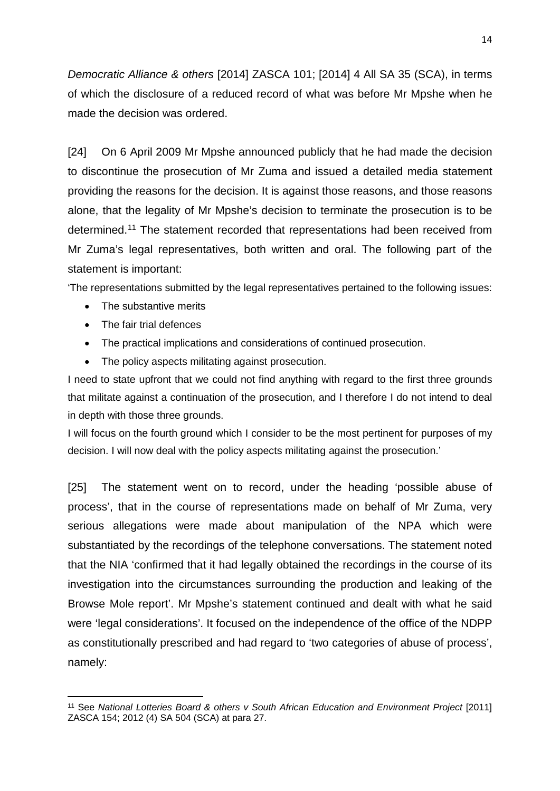*Democratic Alliance & others* [2014] ZASCA 101; [2014] 4 All SA 35 (SCA), in terms of which the disclosure of a reduced record of what was before Mr Mpshe when he made the decision was ordered.

[24] On 6 April 2009 Mr Mpshe announced publicly that he had made the decision to discontinue the prosecution of Mr Zuma and issued a detailed media statement providing the reasons for the decision. It is against those reasons, and those reasons alone, that the legality of Mr Mpshe's decision to terminate the prosecution is to be determined.[11](#page-13-0) The statement recorded that representations had been received from Mr Zuma's legal representatives, both written and oral. The following part of the statement is important:

'The representations submitted by the legal representatives pertained to the following issues:

- The substantive merits
- The fair trial defences

 $\overline{a}$ 

- The practical implications and considerations of continued prosecution.
- The policy aspects militating against prosecution.

I need to state upfront that we could not find anything with regard to the first three grounds that militate against a continuation of the prosecution, and I therefore I do not intend to deal in depth with those three grounds.

I will focus on the fourth ground which I consider to be the most pertinent for purposes of my decision. I will now deal with the policy aspects militating against the prosecution.'

[25] The statement went on to record, under the heading 'possible abuse of process', that in the course of representations made on behalf of Mr Zuma, very serious allegations were made about manipulation of the NPA which were substantiated by the recordings of the telephone conversations. The statement noted that the NIA 'confirmed that it had legally obtained the recordings in the course of its investigation into the circumstances surrounding the production and leaking of the Browse Mole report'. Mr Mpshe's statement continued and dealt with what he said were 'legal considerations'. It focused on the independence of the office of the NDPP as constitutionally prescribed and had regard to 'two categories of abuse of process', namely:

<span id="page-13-0"></span><sup>11</sup> See *National Lotteries Board & others v South African Education and Environment Project* [2011] ZASCA 154; 2012 (4) SA 504 (SCA) at para 27.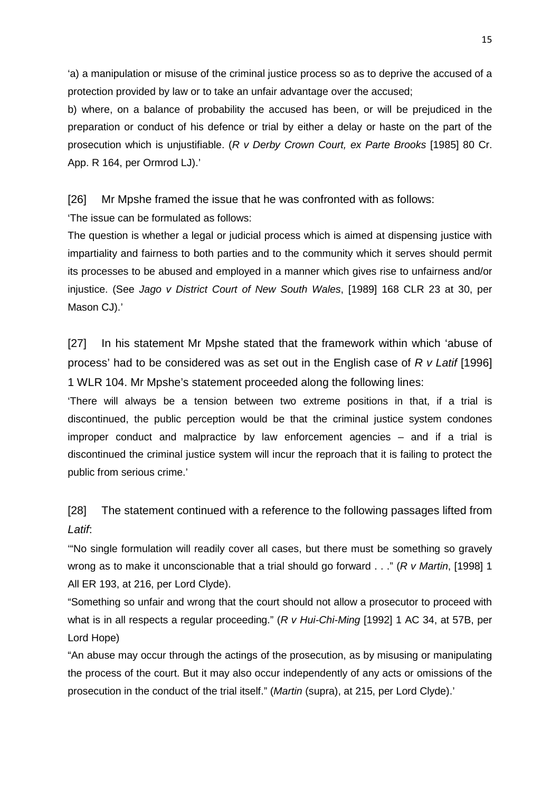'a) a manipulation or misuse of the criminal justice process so as to deprive the accused of a protection provided by law or to take an unfair advantage over the accused;

b) where, on a balance of probability the accused has been, or will be prejudiced in the preparation or conduct of his defence or trial by either a delay or haste on the part of the prosecution which is unjustifiable. (*R v Derby Crown Court, ex Parte Brooks* [1985] 80 Cr. App. R 164, per Ormrod LJ).'

[26] Mr Mpshe framed the issue that he was confronted with as follows:

'The issue can be formulated as follows:

The question is whether a legal or judicial process which is aimed at dispensing justice with impartiality and fairness to both parties and to the community which it serves should permit its processes to be abused and employed in a manner which gives rise to unfairness and/or injustice. (See *Jago v District Court of New South Wales*, [1989] 168 CLR 23 at 30, per Mason CJ).'

[27] In his statement Mr Mpshe stated that the framework within which 'abuse of process' had to be considered was as set out in the English case of *R v Latif* [1996] 1 WLR 104. Mr Mpshe's statement proceeded along the following lines:

'There will always be a tension between two extreme positions in that, if a trial is discontinued, the public perception would be that the criminal justice system condones improper conduct and malpractice by law enforcement agencies – and if a trial is discontinued the criminal justice system will incur the reproach that it is failing to protect the public from serious crime.'

[28] The statement continued with a reference to the following passages lifted from *Latif*:

'"No single formulation will readily cover all cases, but there must be something so gravely wrong as to make it unconscionable that a trial should go forward . . ." (*R v Martin*, [1998] 1 All ER 193, at 216, per Lord Clyde).

"Something so unfair and wrong that the court should not allow a prosecutor to proceed with what is in all respects a regular proceeding." (*R v Hui-Chi-Ming* [1992] 1 AC 34, at 57B, per Lord Hope)

"An abuse may occur through the actings of the prosecution, as by misusing or manipulating the process of the court. But it may also occur independently of any acts or omissions of the prosecution in the conduct of the trial itself." (*Martin* (supra), at 215, per Lord Clyde).'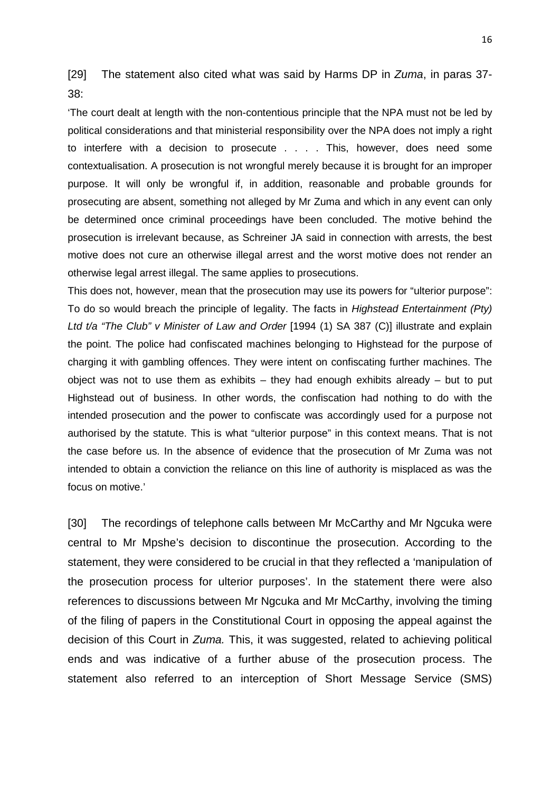[29] The statement also cited what was said by Harms DP in *Zuma*, in paras 37- 38:

'The court dealt at length with the non-contentious principle that the NPA must not be led by political considerations and that ministerial responsibility over the NPA does not imply a right to interfere with a decision to prosecute . . . . This, however, does need some contextualisation. A prosecution is not wrongful merely because it is brought for an improper purpose. It will only be wrongful if, in addition, reasonable and probable grounds for prosecuting are absent, something not alleged by Mr Zuma and which in any event can only be determined once criminal proceedings have been concluded. The motive behind the prosecution is irrelevant because, as Schreiner JA said in connection with arrests, the best motive does not cure an otherwise illegal arrest and the worst motive does not render an otherwise legal arrest illegal. The same applies to prosecutions.

This does not, however, mean that the prosecution may use its powers for "ulterior purpose": To do so would breach the principle of legality. The facts in *Highstead Entertainment (Pty) Ltd t/a "The Club" v Minister of Law and Order* [1994 (1) SA 387 (C)] illustrate and explain the point. The police had confiscated machines belonging to Highstead for the purpose of charging it with gambling offences. They were intent on confiscating further machines. The object was not to use them as exhibits  $-$  they had enough exhibits already  $-$  but to put Highstead out of business. In other words, the confiscation had nothing to do with the intended prosecution and the power to confiscate was accordingly used for a purpose not authorised by the statute. This is what "ulterior purpose" in this context means. That is not the case before us. In the absence of evidence that the prosecution of Mr Zuma was not intended to obtain a conviction the reliance on this line of authority is misplaced as was the focus on motive.'

[30] The recordings of telephone calls between Mr McCarthy and Mr Ngcuka were central to Mr Mpshe's decision to discontinue the prosecution. According to the statement, they were considered to be crucial in that they reflected a 'manipulation of the prosecution process for ulterior purposes'. In the statement there were also references to discussions between Mr Ngcuka and Mr McCarthy, involving the timing of the filing of papers in the Constitutional Court in opposing the appeal against the decision of this Court in *Zuma.* This, it was suggested, related to achieving political ends and was indicative of a further abuse of the prosecution process. The statement also referred to an interception of Short Message Service (SMS)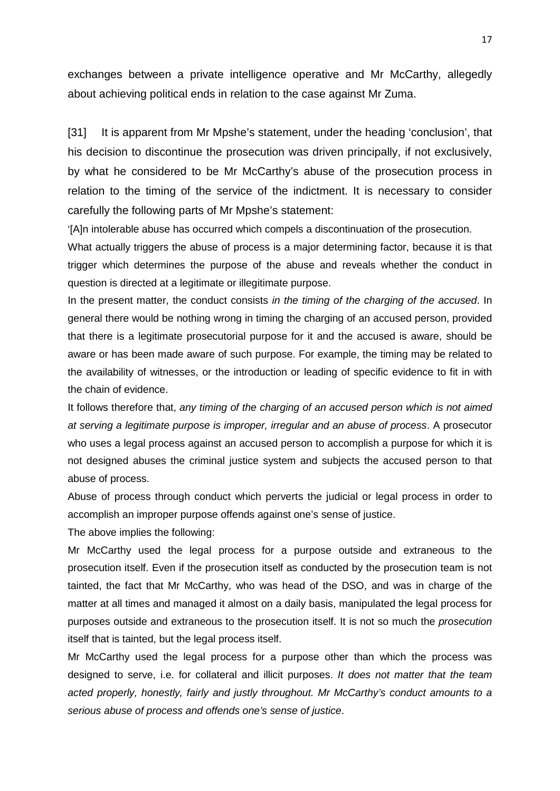exchanges between a private intelligence operative and Mr McCarthy, allegedly about achieving political ends in relation to the case against Mr Zuma.

[31] It is apparent from Mr Mpshe's statement, under the heading 'conclusion', that his decision to discontinue the prosecution was driven principally, if not exclusively, by what he considered to be Mr McCarthy's abuse of the prosecution process in relation to the timing of the service of the indictment. It is necessary to consider carefully the following parts of Mr Mpshe's statement:

'[A]n intolerable abuse has occurred which compels a discontinuation of the prosecution.

What actually triggers the abuse of process is a major determining factor, because it is that trigger which determines the purpose of the abuse and reveals whether the conduct in question is directed at a legitimate or illegitimate purpose.

In the present matter, the conduct consists *in the timing of the charging of the accused*. In general there would be nothing wrong in timing the charging of an accused person, provided that there is a legitimate prosecutorial purpose for it and the accused is aware, should be aware or has been made aware of such purpose. For example, the timing may be related to the availability of witnesses, or the introduction or leading of specific evidence to fit in with the chain of evidence.

It follows therefore that, *any timing of the charging of an accused person which is not aimed at serving a legitimate purpose is improper, irregular and an abuse of process*. A prosecutor who uses a legal process against an accused person to accomplish a purpose for which it is not designed abuses the criminal justice system and subjects the accused person to that abuse of process.

Abuse of process through conduct which perverts the judicial or legal process in order to accomplish an improper purpose offends against one's sense of justice.

The above implies the following:

Mr McCarthy used the legal process for a purpose outside and extraneous to the prosecution itself. Even if the prosecution itself as conducted by the prosecution team is not tainted, the fact that Mr McCarthy, who was head of the DSO, and was in charge of the matter at all times and managed it almost on a daily basis, manipulated the legal process for purposes outside and extraneous to the prosecution itself. It is not so much the *prosecution* itself that is tainted, but the legal process itself.

Mr McCarthy used the legal process for a purpose other than which the process was designed to serve, i.e. for collateral and illicit purposes. *It does not matter that the team acted properly, honestly, fairly and justly throughout. Mr McCarthy's conduct amounts to a serious abuse of process and offends one's sense of justice*.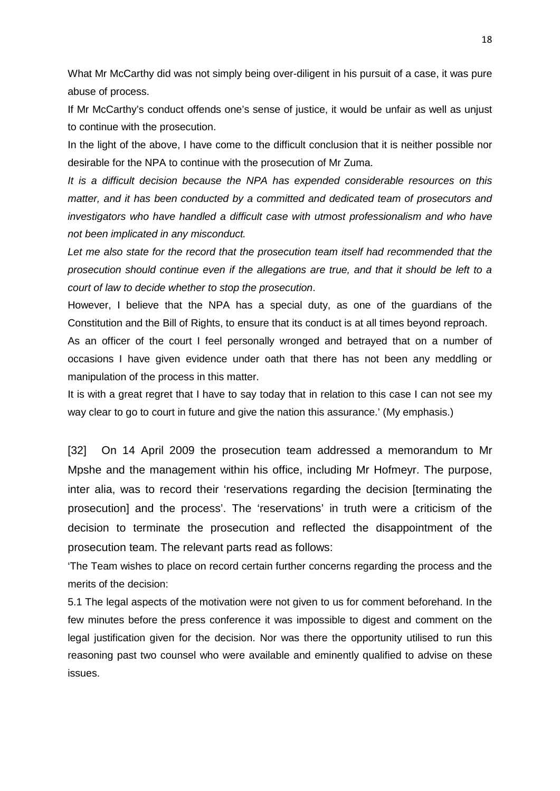What Mr McCarthy did was not simply being over-diligent in his pursuit of a case, it was pure abuse of process.

If Mr McCarthy's conduct offends one's sense of justice, it would be unfair as well as unjust to continue with the prosecution.

In the light of the above, I have come to the difficult conclusion that it is neither possible nor desirable for the NPA to continue with the prosecution of Mr Zuma.

*It is a difficult decision because the NPA has expended considerable resources on this matter, and it has been conducted by a committed and dedicated team of prosecutors and investigators who have handled a difficult case with utmost professionalism and who have not been implicated in any misconduct.* 

Let me also state for the record that the prosecution team itself had recommended that the *prosecution should continue even if the allegations are true, and that it should be left to a court of law to decide whether to stop the prosecution*.

However, I believe that the NPA has a special duty, as one of the guardians of the Constitution and the Bill of Rights, to ensure that its conduct is at all times beyond reproach.

As an officer of the court I feel personally wronged and betrayed that on a number of occasions I have given evidence under oath that there has not been any meddling or manipulation of the process in this matter.

It is with a great regret that I have to say today that in relation to this case I can not see my way clear to go to court in future and give the nation this assurance.' (My emphasis.)

[32] On 14 April 2009 the prosecution team addressed a memorandum to Mr Mpshe and the management within his office, including Mr Hofmeyr. The purpose, inter alia, was to record their 'reservations regarding the decision [terminating the prosecution] and the process'. The 'reservations' in truth were a criticism of the decision to terminate the prosecution and reflected the disappointment of the prosecution team. The relevant parts read as follows:

'The Team wishes to place on record certain further concerns regarding the process and the merits of the decision:

5.1 The legal aspects of the motivation were not given to us for comment beforehand. In the few minutes before the press conference it was impossible to digest and comment on the legal justification given for the decision. Nor was there the opportunity utilised to run this reasoning past two counsel who were available and eminently qualified to advise on these issues.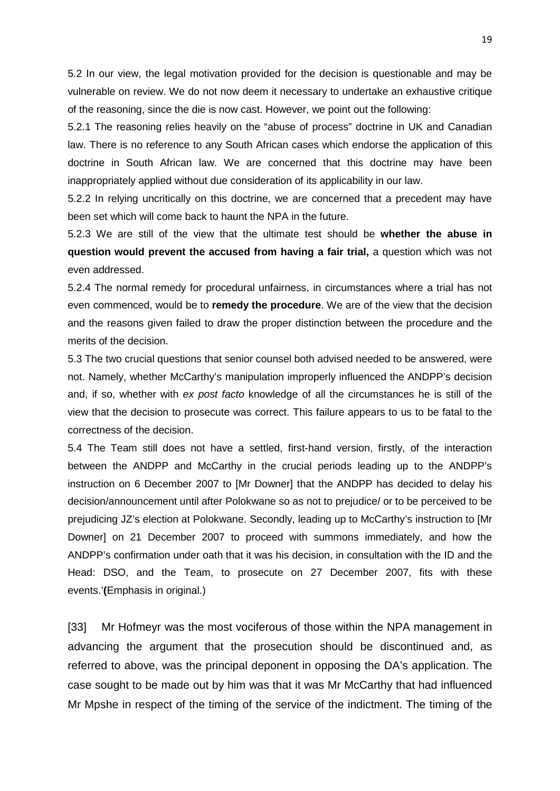5.2 In our view, the legal motivation provided for the decision is questionable and may be vulnerable on review. We do not now deem it necessary to undertake an exhaustive critique of the reasoning, since the die is now cast. However, we point out the following:

5.2.1 The reasoning relies heavily on the "abuse of process" doctrine in UK and Canadian law. There is no reference to any South African cases which endorse the application of this doctrine in South African law. We are concerned that this doctrine may have been inappropriately applied without due consideration of its applicability in our law.

5.2.2 In relying uncritically on this doctrine, we are concerned that a precedent may have been set which will come back to haunt the NPA in the future.

5.2.3 We are still of the view that the ultimate test should be **whether the abuse in question would prevent the accused from having a fair trial,** a question which was not even addressed.

5.2.4 The normal remedy for procedural unfairness, in circumstances where a trial has not even commenced, would be to **remedy the procedure**. We are of the view that the decision and the reasons given failed to draw the proper distinction between the procedure and the merits of the decision.

5.3 The two crucial questions that senior counsel both advised needed to be answered, were not. Namely, whether McCarthy's manipulation improperly influenced the ANDPP's decision and, if so, whether with *ex post facto* knowledge of all the circumstances he is still of the view that the decision to prosecute was correct. This failure appears to us to be fatal to the correctness of the decision.

5.4 The Team still does not have a settled, first-hand version, firstly, of the interaction between the ANDPP and McCarthy in the crucial periods leading up to the ANDPP's instruction on 6 December 2007 to [Mr Downer] that the ANDPP has decided to delay his decision/announcement until after Polokwane so as not to prejudice/ or to be perceived to be prejudicing JZ's election at Polokwane. Secondly, leading up to McCarthy's instruction to [Mr Downer] on 21 December 2007 to proceed with summons immediately, and how the ANDPP's confirmation under oath that it was his decision, in consultation with the ID and the Head: DSO, and the Team, to prosecute on 27 December 2007, fits with these events.'**(**Emphasis in original.)

[33] Mr Hofmeyr was the most vociferous of those within the NPA management in advancing the argument that the prosecution should be discontinued and, as referred to above, was the principal deponent in opposing the DA's application. The case sought to be made out by him was that it was Mr McCarthy that had influenced Mr Mpshe in respect of the timing of the service of the indictment. The timing of the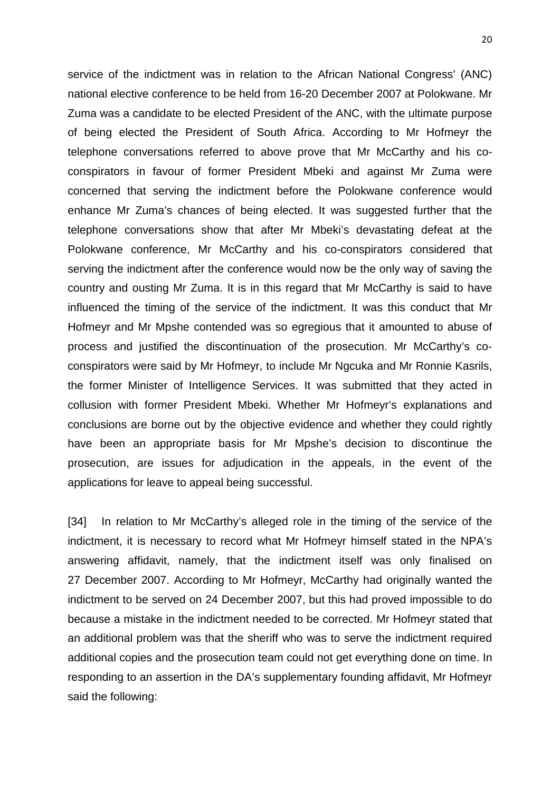service of the indictment was in relation to the African National Congress' (ANC) national elective conference to be held from 16-20 December 2007 at Polokwane. Mr Zuma was a candidate to be elected President of the ANC, with the ultimate purpose of being elected the President of South Africa. According to Mr Hofmeyr the telephone conversations referred to above prove that Mr McCarthy and his coconspirators in favour of former President Mbeki and against Mr Zuma were concerned that serving the indictment before the Polokwane conference would enhance Mr Zuma's chances of being elected. It was suggested further that the telephone conversations show that after Mr Mbeki's devastating defeat at the Polokwane conference, Mr McCarthy and his co-conspirators considered that serving the indictment after the conference would now be the only way of saving the country and ousting Mr Zuma. It is in this regard that Mr McCarthy is said to have influenced the timing of the service of the indictment. It was this conduct that Mr Hofmeyr and Mr Mpshe contended was so egregious that it amounted to abuse of process and justified the discontinuation of the prosecution. Mr McCarthy's coconspirators were said by Mr Hofmeyr, to include Mr Ngcuka and Mr Ronnie Kasrils, the former Minister of Intelligence Services. It was submitted that they acted in collusion with former President Mbeki. Whether Mr Hofmeyr's explanations and conclusions are borne out by the objective evidence and whether they could rightly have been an appropriate basis for Mr Mpshe's decision to discontinue the prosecution, are issues for adjudication in the appeals, in the event of the applications for leave to appeal being successful.

[34] In relation to Mr McCarthy's alleged role in the timing of the service of the indictment, it is necessary to record what Mr Hofmeyr himself stated in the NPA's answering affidavit, namely, that the indictment itself was only finalised on 27 December 2007. According to Mr Hofmeyr, McCarthy had originally wanted the indictment to be served on 24 December 2007, but this had proved impossible to do because a mistake in the indictment needed to be corrected. Mr Hofmeyr stated that an additional problem was that the sheriff who was to serve the indictment required additional copies and the prosecution team could not get everything done on time. In responding to an assertion in the DA's supplementary founding affidavit, Mr Hofmeyr said the following: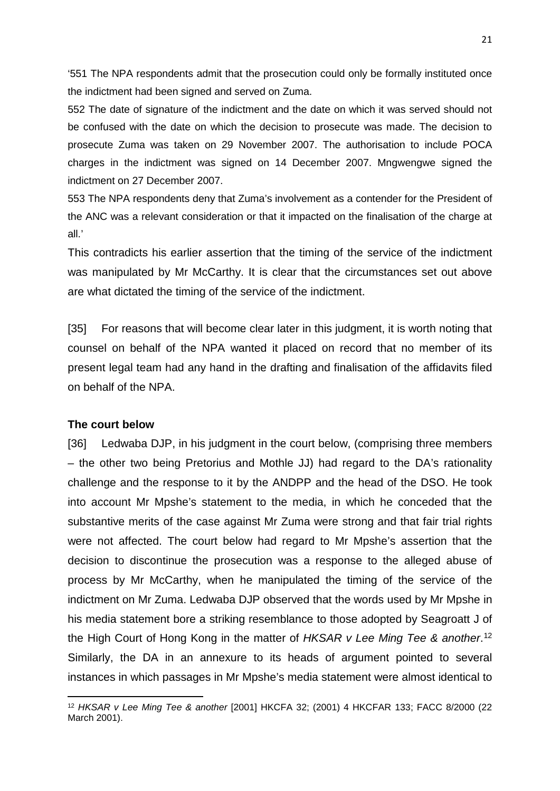'551 The NPA respondents admit that the prosecution could only be formally instituted once the indictment had been signed and served on Zuma.

552 The date of signature of the indictment and the date on which it was served should not be confused with the date on which the decision to prosecute was made. The decision to prosecute Zuma was taken on 29 November 2007. The authorisation to include POCA charges in the indictment was signed on 14 December 2007. Mngwengwe signed the indictment on 27 December 2007.

553 The NPA respondents deny that Zuma's involvement as a contender for the President of the ANC was a relevant consideration or that it impacted on the finalisation of the charge at all.'

This contradicts his earlier assertion that the timing of the service of the indictment was manipulated by Mr McCarthy. It is clear that the circumstances set out above are what dictated the timing of the service of the indictment.

[35] For reasons that will become clear later in this judgment, it is worth noting that counsel on behalf of the NPA wanted it placed on record that no member of its present legal team had any hand in the drafting and finalisation of the affidavits filed on behalf of the NPA.

#### **The court below**

 $\overline{a}$ 

[36] Ledwaba DJP, in his judgment in the court below, (comprising three members – the other two being Pretorius and Mothle JJ) had regard to the DA's rationality challenge and the response to it by the ANDPP and the head of the DSO. He took into account Mr Mpshe's statement to the media, in which he conceded that the substantive merits of the case against Mr Zuma were strong and that fair trial rights were not affected. The court below had regard to Mr Mpshe's assertion that the decision to discontinue the prosecution was a response to the alleged abuse of process by Mr McCarthy, when he manipulated the timing of the service of the indictment on Mr Zuma. Ledwaba DJP observed that the words used by Mr Mpshe in his media statement bore a striking resemblance to those adopted by Seagroatt J of the High Court of Hong Kong in the matter of *HKSAR v Lee Ming Tee & another*. [12](#page-20-0) Similarly, the DA in an annexure to its heads of argument pointed to several instances in which passages in Mr Mpshe's media statement were almost identical to

<span id="page-20-0"></span><sup>12</sup> *HKSAR v Lee Ming Tee & another* [2001] HKCFA 32; (2001) 4 HKCFAR 133; FACC 8/2000 (22 March 2001).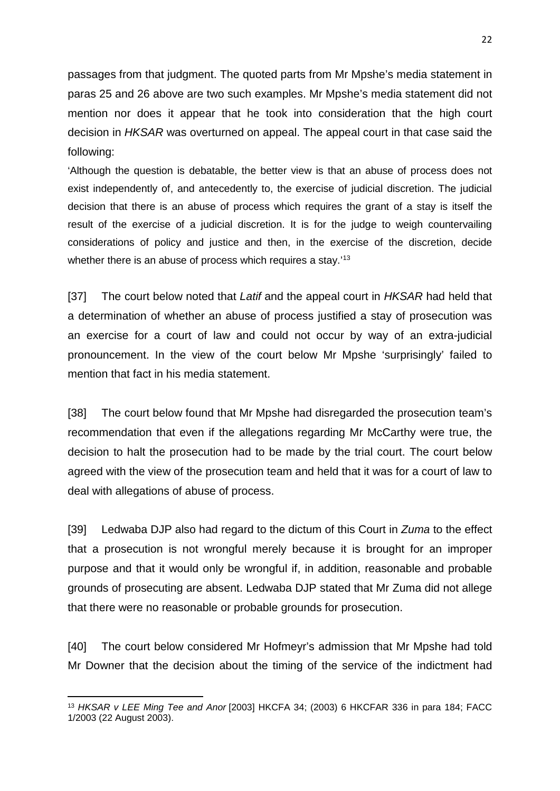passages from that judgment. The quoted parts from Mr Mpshe's media statement in paras 25 and 26 above are two such examples. Mr Mpshe's media statement did not mention nor does it appear that he took into consideration that the high court decision in *HKSAR* was overturned on appeal. The appeal court in that case said the following:

'Although the question is debatable, the better view is that an abuse of process does not exist independently of, and antecedently to, the exercise of judicial discretion. The judicial decision that there is an abuse of process which requires the grant of a stay is itself the result of the exercise of a judicial discretion. It is for the judge to weigh countervailing considerations of policy and justice and then, in the exercise of the discretion, decide whether there is an abuse of process which requires a stay.<sup>[13](#page-21-0)</sup>

[37] The court below noted that *Latif* and the appeal court in *HKSAR* had held that a determination of whether an abuse of process justified a stay of prosecution was an exercise for a court of law and could not occur by way of an extra-judicial pronouncement. In the view of the court below Mr Mpshe 'surprisingly' failed to mention that fact in his media statement.

[38] The court below found that Mr Mpshe had disregarded the prosecution team's recommendation that even if the allegations regarding Mr McCarthy were true, the decision to halt the prosecution had to be made by the trial court. The court below agreed with the view of the prosecution team and held that it was for a court of law to deal with allegations of abuse of process.

[39] Ledwaba DJP also had regard to the dictum of this Court in *Zuma* to the effect that a prosecution is not wrongful merely because it is brought for an improper purpose and that it would only be wrongful if, in addition, reasonable and probable grounds of prosecuting are absent. Ledwaba DJP stated that Mr Zuma did not allege that there were no reasonable or probable grounds for prosecution.

[40] The court below considered Mr Hofmeyr's admission that Mr Mpshe had told Mr Downer that the decision about the timing of the service of the indictment had

 $\overline{\phantom{a}}$ 

<span id="page-21-0"></span><sup>13</sup> *HKSAR v LEE Ming Tee and Anor* [2003] HKCFA 34; [\(2003\) 6 HKCFAR 336](http://legalref.judiciary.gov.hk/lrs/common/search/search_result_detail_frame.jsp?DIS=26076&QS=%2B&TP=JU) in para 184; FACC 1/2003 (22 August 2003).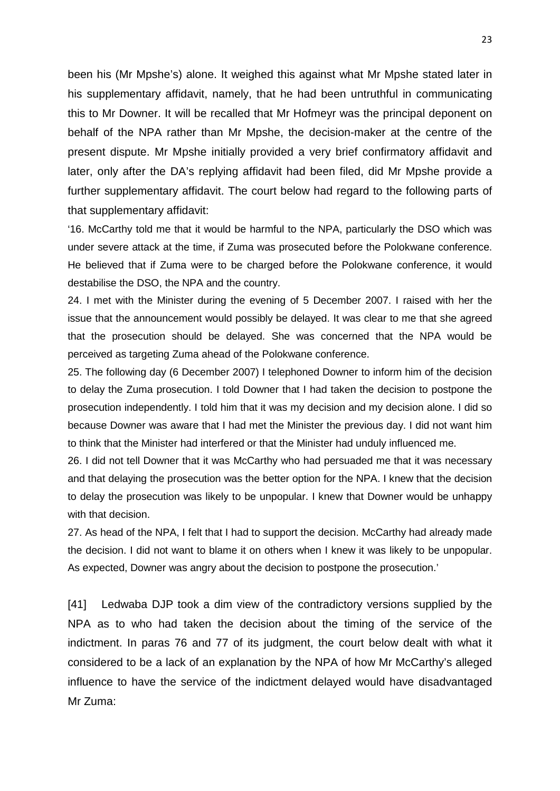been his (Mr Mpshe's) alone. It weighed this against what Mr Mpshe stated later in his supplementary affidavit, namely, that he had been untruthful in communicating this to Mr Downer. It will be recalled that Mr Hofmeyr was the principal deponent on behalf of the NPA rather than Mr Mpshe, the decision-maker at the centre of the present dispute. Mr Mpshe initially provided a very brief confirmatory affidavit and later, only after the DA's replying affidavit had been filed, did Mr Mpshe provide a further supplementary affidavit. The court below had regard to the following parts of that supplementary affidavit:

'16. McCarthy told me that it would be harmful to the NPA, particularly the DSO which was under severe attack at the time, if Zuma was prosecuted before the Polokwane conference. He believed that if Zuma were to be charged before the Polokwane conference, it would destabilise the DSO, the NPA and the country.

24. I met with the Minister during the evening of 5 December 2007. I raised with her the issue that the announcement would possibly be delayed. It was clear to me that she agreed that the prosecution should be delayed. She was concerned that the NPA would be perceived as targeting Zuma ahead of the Polokwane conference.

25. The following day (6 December 2007) I telephoned Downer to inform him of the decision to delay the Zuma prosecution. I told Downer that I had taken the decision to postpone the prosecution independently. I told him that it was my decision and my decision alone. I did so because Downer was aware that I had met the Minister the previous day. I did not want him to think that the Minister had interfered or that the Minister had unduly influenced me.

26. I did not tell Downer that it was McCarthy who had persuaded me that it was necessary and that delaying the prosecution was the better option for the NPA. I knew that the decision to delay the prosecution was likely to be unpopular. I knew that Downer would be unhappy with that decision.

27. As head of the NPA, I felt that I had to support the decision. McCarthy had already made the decision. I did not want to blame it on others when I knew it was likely to be unpopular. As expected, Downer was angry about the decision to postpone the prosecution.'

[41] Ledwaba DJP took a dim view of the contradictory versions supplied by the NPA as to who had taken the decision about the timing of the service of the indictment. In paras 76 and 77 of its judgment, the court below dealt with what it considered to be a lack of an explanation by the NPA of how Mr McCarthy's alleged influence to have the service of the indictment delayed would have disadvantaged Mr Zuma: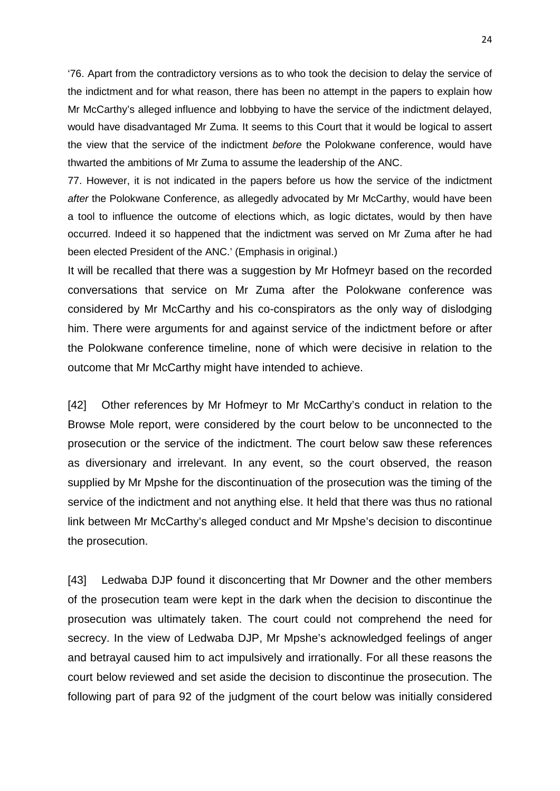'76. Apart from the contradictory versions as to who took the decision to delay the service of the indictment and for what reason, there has been no attempt in the papers to explain how Mr McCarthy's alleged influence and lobbying to have the service of the indictment delayed, would have disadvantaged Mr Zuma. It seems to this Court that it would be logical to assert the view that the service of the indictment *before* the Polokwane conference, would have thwarted the ambitions of Mr Zuma to assume the leadership of the ANC.

77. However, it is not indicated in the papers before us how the service of the indictment *after* the Polokwane Conference, as allegedly advocated by Mr McCarthy, would have been a tool to influence the outcome of elections which, as logic dictates, would by then have occurred. Indeed it so happened that the indictment was served on Mr Zuma after he had been elected President of the ANC.' (Emphasis in original.)

It will be recalled that there was a suggestion by Mr Hofmeyr based on the recorded conversations that service on Mr Zuma after the Polokwane conference was considered by Mr McCarthy and his co-conspirators as the only way of dislodging him. There were arguments for and against service of the indictment before or after the Polokwane conference timeline, none of which were decisive in relation to the outcome that Mr McCarthy might have intended to achieve.

[42] Other references by Mr Hofmeyr to Mr McCarthy's conduct in relation to the Browse Mole report, were considered by the court below to be unconnected to the prosecution or the service of the indictment. The court below saw these references as diversionary and irrelevant. In any event, so the court observed, the reason supplied by Mr Mpshe for the discontinuation of the prosecution was the timing of the service of the indictment and not anything else. It held that there was thus no rational link between Mr McCarthy's alleged conduct and Mr Mpshe's decision to discontinue the prosecution.

[43] Ledwaba DJP found it disconcerting that Mr Downer and the other members of the prosecution team were kept in the dark when the decision to discontinue the prosecution was ultimately taken. The court could not comprehend the need for secrecy. In the view of Ledwaba DJP, Mr Mpshe's acknowledged feelings of anger and betrayal caused him to act impulsively and irrationally. For all these reasons the court below reviewed and set aside the decision to discontinue the prosecution. The following part of para 92 of the judgment of the court below was initially considered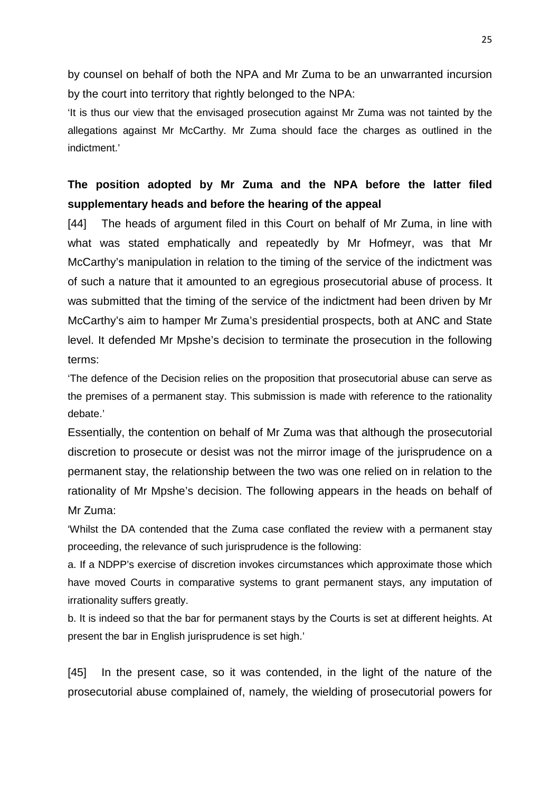by counsel on behalf of both the NPA and Mr Zuma to be an unwarranted incursion by the court into territory that rightly belonged to the NPA:

'It is thus our view that the envisaged prosecution against Mr Zuma was not tainted by the allegations against Mr McCarthy. Mr Zuma should face the charges as outlined in the indictment.'

# **The position adopted by Mr Zuma and the NPA before the latter filed supplementary heads and before the hearing of the appeal**

[44] The heads of argument filed in this Court on behalf of Mr Zuma, in line with what was stated emphatically and repeatedly by Mr Hofmeyr, was that Mr McCarthy's manipulation in relation to the timing of the service of the indictment was of such a nature that it amounted to an egregious prosecutorial abuse of process. It was submitted that the timing of the service of the indictment had been driven by Mr McCarthy's aim to hamper Mr Zuma's presidential prospects, both at ANC and State level. It defended Mr Mpshe's decision to terminate the prosecution in the following terms:

'The defence of the Decision relies on the proposition that prosecutorial abuse can serve as the premises of a permanent stay. This submission is made with reference to the rationality debate.'

Essentially, the contention on behalf of Mr Zuma was that although the prosecutorial discretion to prosecute or desist was not the mirror image of the jurisprudence on a permanent stay, the relationship between the two was one relied on in relation to the rationality of Mr Mpshe's decision. The following appears in the heads on behalf of Mr Zuma:

'Whilst the DA contended that the Zuma case conflated the review with a permanent stay proceeding, the relevance of such jurisprudence is the following:

a. If a NDPP's exercise of discretion invokes circumstances which approximate those which have moved Courts in comparative systems to grant permanent stays, any imputation of irrationality suffers greatly.

b. It is indeed so that the bar for permanent stays by the Courts is set at different heights. At present the bar in English jurisprudence is set high.'

[45] In the present case, so it was contended, in the light of the nature of the prosecutorial abuse complained of, namely, the wielding of prosecutorial powers for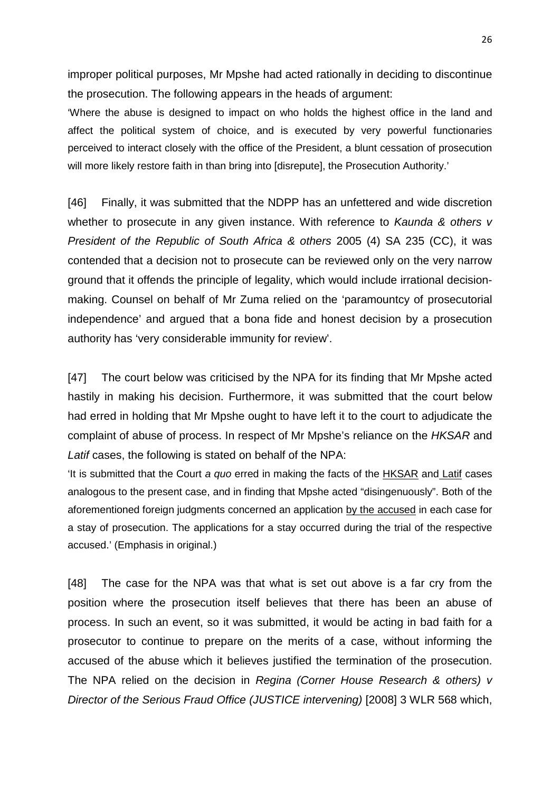improper political purposes, Mr Mpshe had acted rationally in deciding to discontinue the prosecution. The following appears in the heads of argument:

'Where the abuse is designed to impact on who holds the highest office in the land and affect the political system of choice, and is executed by very powerful functionaries perceived to interact closely with the office of the President, a blunt cessation of prosecution will more likely restore faith in than bring into [disrepute], the Prosecution Authority.'

[46] Finally, it was submitted that the NDPP has an unfettered and wide discretion whether to prosecute in any given instance. With reference to *Kaunda & others v President of the Republic of South Africa & others* 2005 (4) SA 235 (CC), it was contended that a decision not to prosecute can be reviewed only on the very narrow ground that it offends the principle of legality, which would include irrational decisionmaking. Counsel on behalf of Mr Zuma relied on the 'paramountcy of prosecutorial independence' and argued that a bona fide and honest decision by a prosecution authority has 'very considerable immunity for review'.

[47] The court below was criticised by the NPA for its finding that Mr Mpshe acted hastily in making his decision. Furthermore, it was submitted that the court below had erred in holding that Mr Mpshe ought to have left it to the court to adjudicate the complaint of abuse of process. In respect of Mr Mpshe's reliance on the *HKSAR* and *Latif* cases, the following is stated on behalf of the NPA:

'It is submitted that the Court *a quo* erred in making the facts of the HKSAR and Latif cases analogous to the present case, and in finding that Mpshe acted "disingenuously". Both of the aforementioned foreign judgments concerned an application by the accused in each case for a stay of prosecution. The applications for a stay occurred during the trial of the respective accused.' (Emphasis in original.)

[48] The case for the NPA was that what is set out above is a far cry from the position where the prosecution itself believes that there has been an abuse of process. In such an event, so it was submitted, it would be acting in bad faith for a prosecutor to continue to prepare on the merits of a case, without informing the accused of the abuse which it believes justified the termination of the prosecution. The NPA relied on the decision in *Regina (Corner House Research & others) v Director of the Serious Fraud Office (JUSTICE intervening)* [2008] 3 WLR 568 which,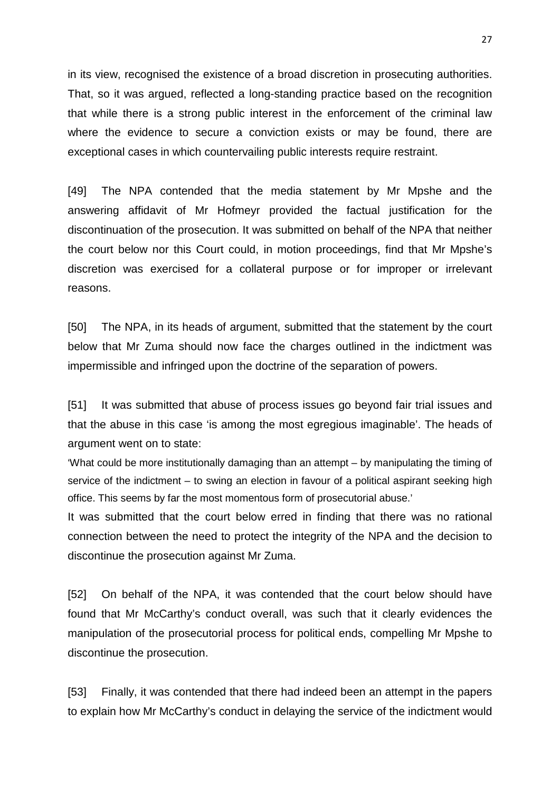in its view, recognised the existence of a broad discretion in prosecuting authorities. That, so it was argued, reflected a long-standing practice based on the recognition that while there is a strong public interest in the enforcement of the criminal law where the evidence to secure a conviction exists or may be found, there are exceptional cases in which countervailing public interests require restraint.

[49] The NPA contended that the media statement by Mr Mpshe and the answering affidavit of Mr Hofmeyr provided the factual justification for the discontinuation of the prosecution. It was submitted on behalf of the NPA that neither the court below nor this Court could, in motion proceedings, find that Mr Mpshe's discretion was exercised for a collateral purpose or for improper or irrelevant reasons.

[50] The NPA, in its heads of argument, submitted that the statement by the court below that Mr Zuma should now face the charges outlined in the indictment was impermissible and infringed upon the doctrine of the separation of powers.

[51] It was submitted that abuse of process issues go beyond fair trial issues and that the abuse in this case 'is among the most egregious imaginable'. The heads of argument went on to state:

'What could be more institutionally damaging than an attempt – by manipulating the timing of service of the indictment – to swing an election in favour of a political aspirant seeking high office. This seems by far the most momentous form of prosecutorial abuse.'

It was submitted that the court below erred in finding that there was no rational connection between the need to protect the integrity of the NPA and the decision to discontinue the prosecution against Mr Zuma.

[52] On behalf of the NPA, it was contended that the court below should have found that Mr McCarthy's conduct overall, was such that it clearly evidences the manipulation of the prosecutorial process for political ends, compelling Mr Mpshe to discontinue the prosecution.

[53] Finally, it was contended that there had indeed been an attempt in the papers to explain how Mr McCarthy's conduct in delaying the service of the indictment would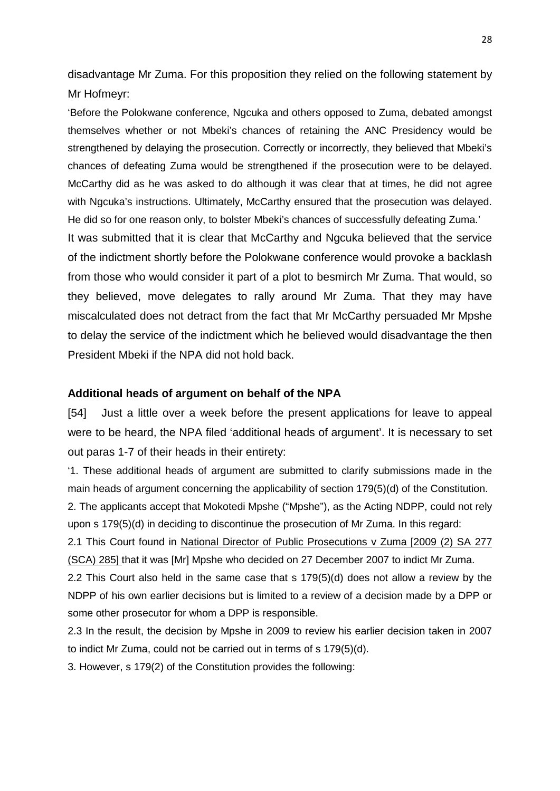disadvantage Mr Zuma. For this proposition they relied on the following statement by Mr Hofmeyr:

'Before the Polokwane conference, Ngcuka and others opposed to Zuma, debated amongst themselves whether or not Mbeki's chances of retaining the ANC Presidency would be strengthened by delaying the prosecution. Correctly or incorrectly, they believed that Mbeki's chances of defeating Zuma would be strengthened if the prosecution were to be delayed. McCarthy did as he was asked to do although it was clear that at times, he did not agree with Ngcuka's instructions. Ultimately, McCarthy ensured that the prosecution was delayed. He did so for one reason only, to bolster Mbeki's chances of successfully defeating Zuma.'

It was submitted that it is clear that McCarthy and Ngcuka believed that the service of the indictment shortly before the Polokwane conference would provoke a backlash from those who would consider it part of a plot to besmirch Mr Zuma. That would, so they believed, move delegates to rally around Mr Zuma. That they may have miscalculated does not detract from the fact that Mr McCarthy persuaded Mr Mpshe to delay the service of the indictment which he believed would disadvantage the then President Mbeki if the NPA did not hold back.

## **Additional heads of argument on behalf of the NPA**

[54] Just a little over a week before the present applications for leave to appeal were to be heard, the NPA filed 'additional heads of argument'. It is necessary to set out paras 1-7 of their heads in their entirety:

'1. These additional heads of argument are submitted to clarify submissions made in the main heads of argument concerning the applicability of section 179(5)(d) of the Constitution.

2. The applicants accept that Mokotedi Mpshe ("Mpshe"), as the Acting NDPP, could not rely upon s 179(5)(d) in deciding to discontinue the prosecution of Mr Zuma. In this regard:

2.1 This Court found in National Director of Public Prosecutions v Zuma [2009 (2) SA 277 (SCA) 285] that it was [Mr] Mpshe who decided on 27 December 2007 to indict Mr Zuma.

2.2 This Court also held in the same case that s 179(5)(d) does not allow a review by the NDPP of his own earlier decisions but is limited to a review of a decision made by a DPP or some other prosecutor for whom a DPP is responsible.

2.3 In the result, the decision by Mpshe in 2009 to review his earlier decision taken in 2007 to indict Mr Zuma, could not be carried out in terms of s 179(5)(d).

3. However, s 179(2) of the Constitution provides the following: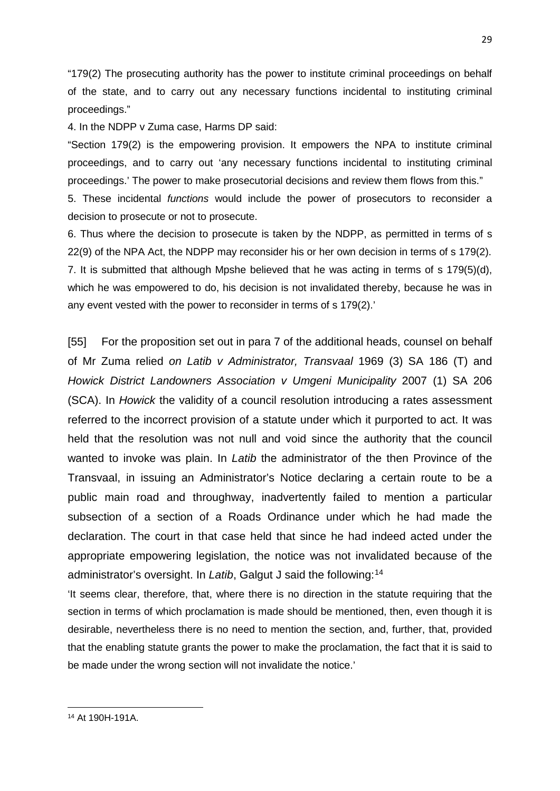"179(2) The prosecuting authority has the power to institute criminal proceedings on behalf of the state, and to carry out any necessary functions incidental to instituting criminal proceedings."

4. In the NDPP v Zuma case, Harms DP said:

"Section 179(2) is the empowering provision. It empowers the NPA to institute criminal proceedings, and to carry out 'any necessary functions incidental to instituting criminal proceedings.' The power to make prosecutorial decisions and review them flows from this."

5. These incidental *functions* would include the power of prosecutors to reconsider a decision to prosecute or not to prosecute.

6. Thus where the decision to prosecute is taken by the NDPP, as permitted in terms of s 22(9) of the NPA Act, the NDPP may reconsider his or her own decision in terms of s 179(2). 7. It is submitted that although Mpshe believed that he was acting in terms of s 179(5)(d), which he was empowered to do, his decision is not invalidated thereby, because he was in any event vested with the power to reconsider in terms of s 179(2).'

[55] For the proposition set out in para 7 of the additional heads, counsel on behalf of Mr Zuma relied *on Latib v Administrator, Transvaal* 1969 (3) SA 186 (T) and *Howick District Landowners Association v Umgeni Municipality* 2007 (1) SA 206 (SCA). In *Howick* the validity of a council resolution introducing a rates assessment referred to the incorrect provision of a statute under which it purported to act. It was held that the resolution was not null and void since the authority that the council wanted to invoke was plain. In *Latib* the administrator of the then Province of the Transvaal, in issuing an Administrator's Notice declaring a certain route to be a public main road and throughway, inadvertently failed to mention a particular subsection of a section of a Roads Ordinance under which he had made the declaration. The court in that case held that since he had indeed acted under the appropriate empowering legislation, the notice was not invalidated because of the administrator's oversight. In *Latib*, Galgut J said the following:[14](#page-28-0)

'It seems clear, therefore, that, where there is no direction in the statute requiring that the section in terms of which proclamation is made should be mentioned, then, even though it is desirable, nevertheless there is no need to mention the section, and, further, that, provided that the enabling statute grants the power to make the proclamation, the fact that it is said to be made under the wrong section will not invalidate the notice.'

 $\overline{\phantom{a}}$ 

<span id="page-28-0"></span><sup>14</sup> At 190H-191A.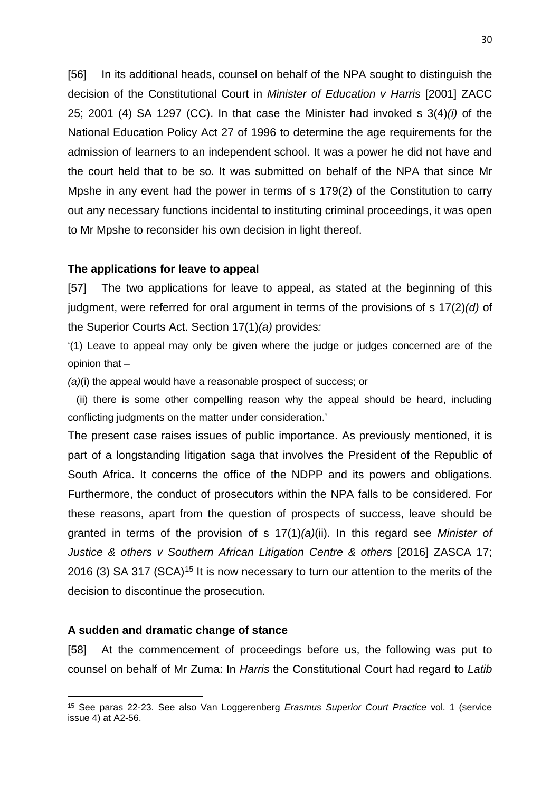[56] In its additional heads, counsel on behalf of the NPA sought to distinguish the decision of the Constitutional Court in *Minister of Education v Harris* [2001] ZACC 25; 2001 (4) SA 1297 (CC). In that case the Minister had invoked s 3(4)*(i)* of the National Education Policy Act 27 of 1996 to determine the age requirements for the admission of learners to an independent school. It was a power he did not have and the court held that to be so. It was submitted on behalf of the NPA that since Mr Mpshe in any event had the power in terms of s 179(2) of the Constitution to carry out any necessary functions incidental to instituting criminal proceedings, it was open to Mr Mpshe to reconsider his own decision in light thereof.

#### **The applications for leave to appeal**

[57] The two applications for leave to appeal, as stated at the beginning of this judgment, were referred for oral argument in terms of the provisions of s 17(2)*(d)* of the Superior Courts Act. Section 17(1)*(a)* provides*:*

'(1) Leave to appeal may only be given where the judge or judges concerned are of the opinion that –

*(a)*(i) the appeal would have a reasonable prospect of success; or

 (ii) there is some other compelling reason why the appeal should be heard, including conflicting judgments on the matter under consideration.'

The present case raises issues of public importance. As previously mentioned, it is part of a longstanding litigation saga that involves the President of the Republic of South Africa. It concerns the office of the NDPP and its powers and obligations. Furthermore, the conduct of prosecutors within the NPA falls to be considered. For these reasons, apart from the question of prospects of success, leave should be granted in terms of the provision of s 17(1)*(a)*(ii). In this regard see *Minister of Justice* & others *v* Southern African Litigation Centre & others [2016] ZASCA 17; 2016 (3) SA 317 (SCA)<sup>[15](#page-29-0)</sup> It is now necessary to turn our attention to the merits of the decision to discontinue the prosecution.

## **A sudden and dramatic change of stance**

 $\overline{\phantom{a}}$ 

[58] At the commencement of proceedings before us, the following was put to counsel on behalf of Mr Zuma: In *Harris* the Constitutional Court had regard to *Latib* 

<span id="page-29-0"></span><sup>15</sup> See paras 22-23. See also Van Loggerenberg *Erasmus Superior Court Practice* vol. 1 (service issue 4) at A2-56.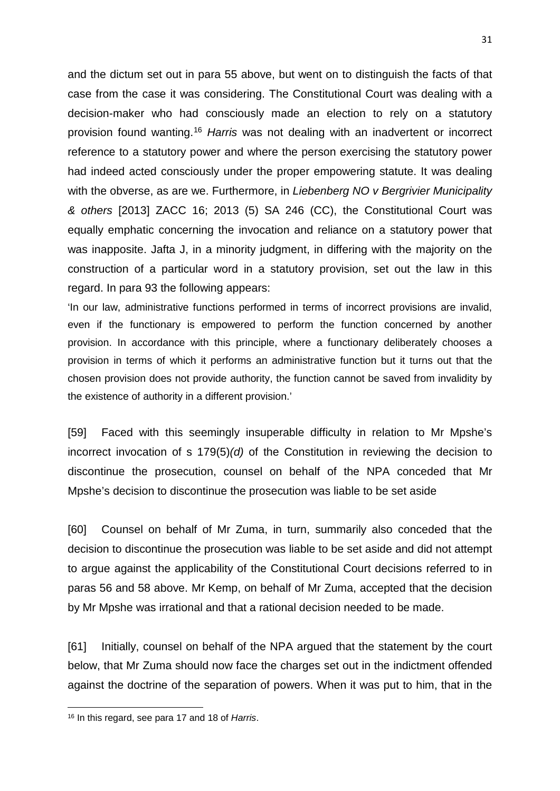and the dictum set out in para 55 above, but went on to distinguish the facts of that case from the case it was considering. The Constitutional Court was dealing with a decision-maker who had consciously made an election to rely on a statutory provision found wanting.[16](#page-30-0) *Harris* was not dealing with an inadvertent or incorrect reference to a statutory power and where the person exercising the statutory power had indeed acted consciously under the proper empowering statute. It was dealing with the obverse, as are we. Furthermore, in *Liebenberg NO v Bergrivier Municipality & others* [2013] ZACC 16; 2013 (5) SA 246 (CC), the Constitutional Court was equally emphatic concerning the invocation and reliance on a statutory power that was inapposite. Jafta J, in a minority judgment, in differing with the majority on the construction of a particular word in a statutory provision, set out the law in this regard. In para 93 the following appears:

'In our law, administrative functions performed in terms of incorrect provisions are invalid, even if the functionary is empowered to perform the function concerned by another provision. In accordance with this principle, where a functionary deliberately chooses a provision in terms of which it performs an administrative function but it turns out that the chosen provision does not provide authority, the function cannot be saved from invalidity by the existence of authority in a different provision.'

[59] Faced with this seemingly insuperable difficulty in relation to Mr Mpshe's incorrect invocation of s 179(5)*(d)* of the Constitution in reviewing the decision to discontinue the prosecution, counsel on behalf of the NPA conceded that Mr Mpshe's decision to discontinue the prosecution was liable to be set aside

[60] Counsel on behalf of Mr Zuma, in turn, summarily also conceded that the decision to discontinue the prosecution was liable to be set aside and did not attempt to argue against the applicability of the Constitutional Court decisions referred to in paras 56 and 58 above. Mr Kemp, on behalf of Mr Zuma, accepted that the decision by Mr Mpshe was irrational and that a rational decision needed to be made.

[61] Initially, counsel on behalf of the NPA argued that the statement by the court below, that Mr Zuma should now face the charges set out in the indictment offended against the doctrine of the separation of powers. When it was put to him, that in the

 $\overline{\phantom{a}}$ 

<span id="page-30-0"></span><sup>16</sup> In this regard, see para 17 and 18 of *Harris*.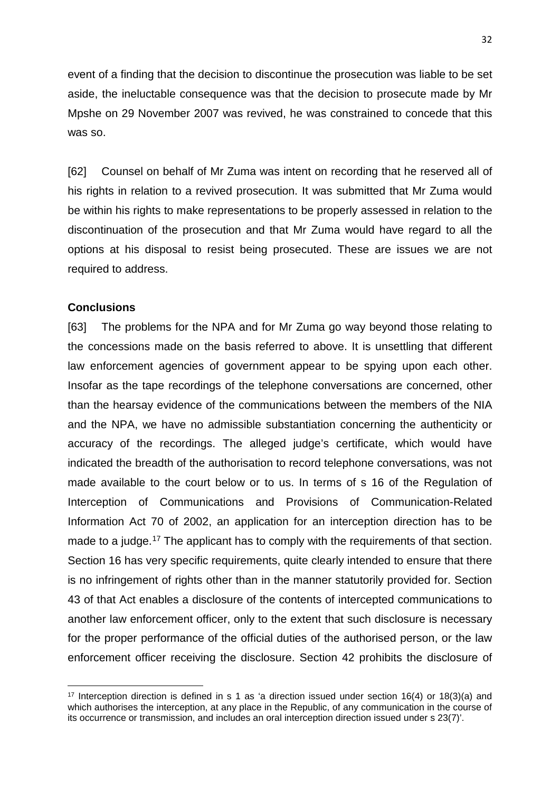event of a finding that the decision to discontinue the prosecution was liable to be set aside, the ineluctable consequence was that the decision to prosecute made by Mr Mpshe on 29 November 2007 was revived, he was constrained to concede that this was so.

[62] Counsel on behalf of Mr Zuma was intent on recording that he reserved all of his rights in relation to a revived prosecution. It was submitted that Mr Zuma would be within his rights to make representations to be properly assessed in relation to the discontinuation of the prosecution and that Mr Zuma would have regard to all the options at his disposal to resist being prosecuted. These are issues we are not required to address.

## **Conclusions**

**.** 

[63] The problems for the NPA and for Mr Zuma go way beyond those relating to the concessions made on the basis referred to above. It is unsettling that different law enforcement agencies of government appear to be spying upon each other. Insofar as the tape recordings of the telephone conversations are concerned, other than the hearsay evidence of the communications between the members of the NIA and the NPA, we have no admissible substantiation concerning the authenticity or accuracy of the recordings. The alleged judge's certificate, which would have indicated the breadth of the authorisation to record telephone conversations, was not made available to the court below or to us. In terms of s 16 of the Regulation of Interception of Communications and Provisions of Communication-Related Information Act 70 of 2002, an application for an interception direction has to be made to a judge.<sup>[17](#page-31-0)</sup> The applicant has to comply with the requirements of that section. Section 16 has very specific requirements, quite clearly intended to ensure that there is no infringement of rights other than in the manner statutorily provided for. Section 43 of that Act enables a disclosure of the contents of intercepted communications to another law enforcement officer, only to the extent that such disclosure is necessary for the proper performance of the official duties of the authorised person, or the law enforcement officer receiving the disclosure. Section 42 prohibits the disclosure of

<span id="page-31-0"></span><sup>17</sup> Interception direction is defined in s 1 as 'a direction issued under section 16(4) or 18(3)(a) and which authorises the interception, at any place in the Republic, of any communication in the course of its occurrence or transmission, and includes an oral interception direction issued under s 23(7)'.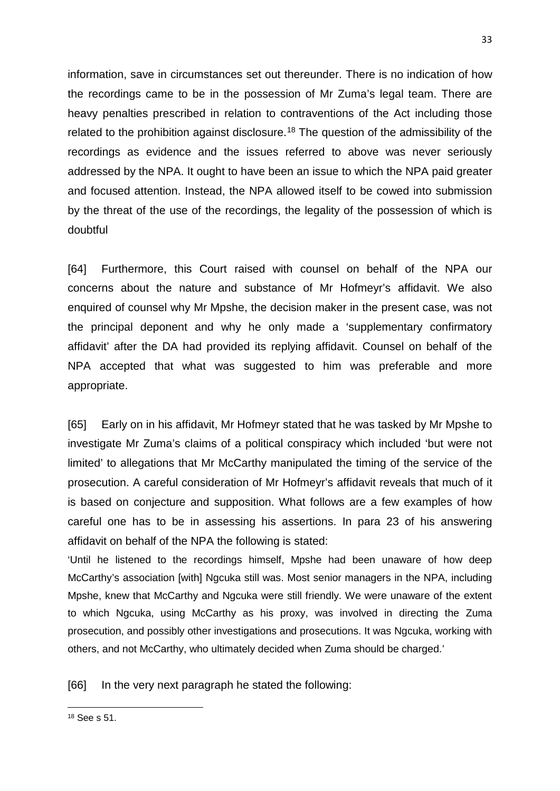information, save in circumstances set out thereunder. There is no indication of how the recordings came to be in the possession of Mr Zuma's legal team. There are heavy penalties prescribed in relation to contraventions of the Act including those related to the prohibition against disclosure.<sup>[18](#page-32-0)</sup> The question of the admissibility of the recordings as evidence and the issues referred to above was never seriously addressed by the NPA. It ought to have been an issue to which the NPA paid greater and focused attention. Instead, the NPA allowed itself to be cowed into submission by the threat of the use of the recordings, the legality of the possession of which is doubtful

[64] Furthermore, this Court raised with counsel on behalf of the NPA our concerns about the nature and substance of Mr Hofmeyr's affidavit. We also enquired of counsel why Mr Mpshe, the decision maker in the present case, was not the principal deponent and why he only made a 'supplementary confirmatory affidavit' after the DA had provided its replying affidavit. Counsel on behalf of the NPA accepted that what was suggested to him was preferable and more appropriate.

[65] Early on in his affidavit, Mr Hofmeyr stated that he was tasked by Mr Mpshe to investigate Mr Zuma's claims of a political conspiracy which included 'but were not limited' to allegations that Mr McCarthy manipulated the timing of the service of the prosecution. A careful consideration of Mr Hofmeyr's affidavit reveals that much of it is based on conjecture and supposition. What follows are a few examples of how careful one has to be in assessing his assertions. In para 23 of his answering affidavit on behalf of the NPA the following is stated:

'Until he listened to the recordings himself, Mpshe had been unaware of how deep McCarthy's association [with] Ngcuka still was. Most senior managers in the NPA, including Mpshe, knew that McCarthy and Ngcuka were still friendly. We were unaware of the extent to which Ngcuka, using McCarthy as his proxy, was involved in directing the Zuma prosecution, and possibly other investigations and prosecutions. It was Ngcuka, working with others, and not McCarthy, who ultimately decided when Zuma should be charged.'

## [66] In the very next paragraph he stated the following:

 $\overline{\phantom{a}}$ 

<span id="page-32-0"></span><sup>18</sup> See s 51.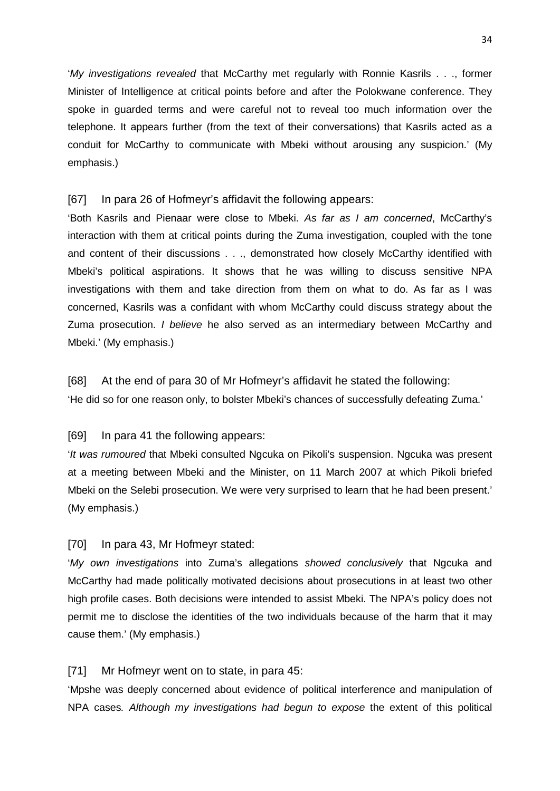'*My investigations revealed* that McCarthy met regularly with Ronnie Kasrils . . ., former Minister of Intelligence at critical points before and after the Polokwane conference. They spoke in guarded terms and were careful not to reveal too much information over the telephone. It appears further (from the text of their conversations) that Kasrils acted as a conduit for McCarthy to communicate with Mbeki without arousing any suspicion.' (My emphasis.)

## [67] In para 26 of Hofmeyr's affidavit the following appears:

'Both Kasrils and Pienaar were close to Mbeki. *As far as I am concerned*, McCarthy's interaction with them at critical points during the Zuma investigation, coupled with the tone and content of their discussions . . ., demonstrated how closely McCarthy identified with Mbeki's political aspirations. It shows that he was willing to discuss sensitive NPA investigations with them and take direction from them on what to do. As far as I was concerned, Kasrils was a confidant with whom McCarthy could discuss strategy about the Zuma prosecution. *I believe* he also served as an intermediary between McCarthy and Mbeki.' (My emphasis.)

[68] At the end of para 30 of Mr Hofmeyr's affidavit he stated the following: 'He did so for one reason only, to bolster Mbeki's chances of successfully defeating Zuma.'

# [69] In para 41 the following appears:

'*It was rumoured* that Mbeki consulted Ngcuka on Pikoli's suspension. Ngcuka was present at a meeting between Mbeki and the Minister, on 11 March 2007 at which Pikoli briefed Mbeki on the Selebi prosecution. We were very surprised to learn that he had been present.' (My emphasis.)

# [70] In para 43, Mr Hofmeyr stated:

'*My own investigations* into Zuma's allegations *showed conclusively* that Ngcuka and McCarthy had made politically motivated decisions about prosecutions in at least two other high profile cases. Both decisions were intended to assist Mbeki. The NPA's policy does not permit me to disclose the identities of the two individuals because of the harm that it may cause them.' (My emphasis.)

# [71] Mr Hofmeyr went on to state, in para 45:

'Mpshe was deeply concerned about evidence of political interference and manipulation of NPA cases*. Although my investigations had begun to expose* the extent of this political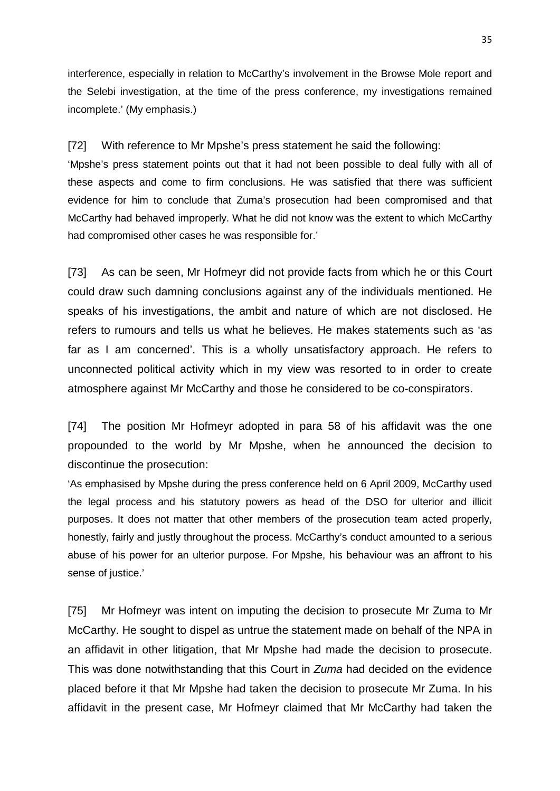interference, especially in relation to McCarthy's involvement in the Browse Mole report and the Selebi investigation, at the time of the press conference, my investigations remained incomplete.' (My emphasis.)

[72] With reference to Mr Mpshe's press statement he said the following:

'Mpshe's press statement points out that it had not been possible to deal fully with all of these aspects and come to firm conclusions. He was satisfied that there was sufficient evidence for him to conclude that Zuma's prosecution had been compromised and that McCarthy had behaved improperly. What he did not know was the extent to which McCarthy had compromised other cases he was responsible for.'

[73] As can be seen, Mr Hofmeyr did not provide facts from which he or this Court could draw such damning conclusions against any of the individuals mentioned. He speaks of his investigations, the ambit and nature of which are not disclosed. He refers to rumours and tells us what he believes. He makes statements such as 'as far as I am concerned'. This is a wholly unsatisfactory approach. He refers to unconnected political activity which in my view was resorted to in order to create atmosphere against Mr McCarthy and those he considered to be co-conspirators.

[74] The position Mr Hofmeyr adopted in para 58 of his affidavit was the one propounded to the world by Mr Mpshe, when he announced the decision to discontinue the prosecution:

'As emphasised by Mpshe during the press conference held on 6 April 2009, McCarthy used the legal process and his statutory powers as head of the DSO for ulterior and illicit purposes. It does not matter that other members of the prosecution team acted properly, honestly, fairly and justly throughout the process. McCarthy's conduct amounted to a serious abuse of his power for an ulterior purpose. For Mpshe, his behaviour was an affront to his sense of justice.'

[75] Mr Hofmeyr was intent on imputing the decision to prosecute Mr Zuma to Mr McCarthy. He sought to dispel as untrue the statement made on behalf of the NPA in an affidavit in other litigation, that Mr Mpshe had made the decision to prosecute. This was done notwithstanding that this Court in *Zuma* had decided on the evidence placed before it that Mr Mpshe had taken the decision to prosecute Mr Zuma. In his affidavit in the present case, Mr Hofmeyr claimed that Mr McCarthy had taken the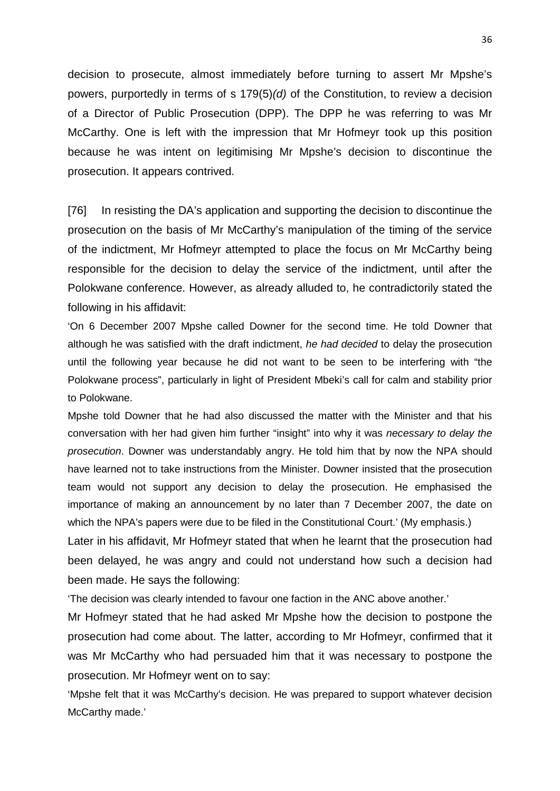decision to prosecute, almost immediately before turning to assert Mr Mpshe's powers, purportedly in terms of s 179(5)*(d)* of the Constitution, to review a decision of a Director of Public Prosecution (DPP). The DPP he was referring to was Mr McCarthy. One is left with the impression that Mr Hofmeyr took up this position because he was intent on legitimising Mr Mpshe's decision to discontinue the prosecution. It appears contrived.

[76] In resisting the DA's application and supporting the decision to discontinue the prosecution on the basis of Mr McCarthy's manipulation of the timing of the service of the indictment, Mr Hofmeyr attempted to place the focus on Mr McCarthy being responsible for the decision to delay the service of the indictment, until after the Polokwane conference. However, as already alluded to, he contradictorily stated the following in his affidavit:

'On 6 December 2007 Mpshe called Downer for the second time. He told Downer that although he was satisfied with the draft indictment, *he had decided* to delay the prosecution until the following year because he did not want to be seen to be interfering with "the Polokwane process", particularly in light of President Mbeki's call for calm and stability prior to Polokwane.

Mpshe told Downer that he had also discussed the matter with the Minister and that his conversation with her had given him further "insight" into why it was *necessary to delay the prosecution*. Downer was understandably angry. He told him that by now the NPA should have learned not to take instructions from the Minister. Downer insisted that the prosecution team would not support any decision to delay the prosecution. He emphasised the importance of making an announcement by no later than 7 December 2007, the date on which the NPA's papers were due to be filed in the Constitutional Court.' (My emphasis.)

Later in his affidavit, Mr Hofmeyr stated that when he learnt that the prosecution had been delayed, he was angry and could not understand how such a decision had been made. He says the following:

'The decision was clearly intended to favour one faction in the ANC above another.'

Mr Hofmeyr stated that he had asked Mr Mpshe how the decision to postpone the prosecution had come about. The latter, according to Mr Hofmeyr, confirmed that it was Mr McCarthy who had persuaded him that it was necessary to postpone the prosecution. Mr Hofmeyr went on to say:

'Mpshe felt that it was McCarthy's decision. He was prepared to support whatever decision McCarthy made.'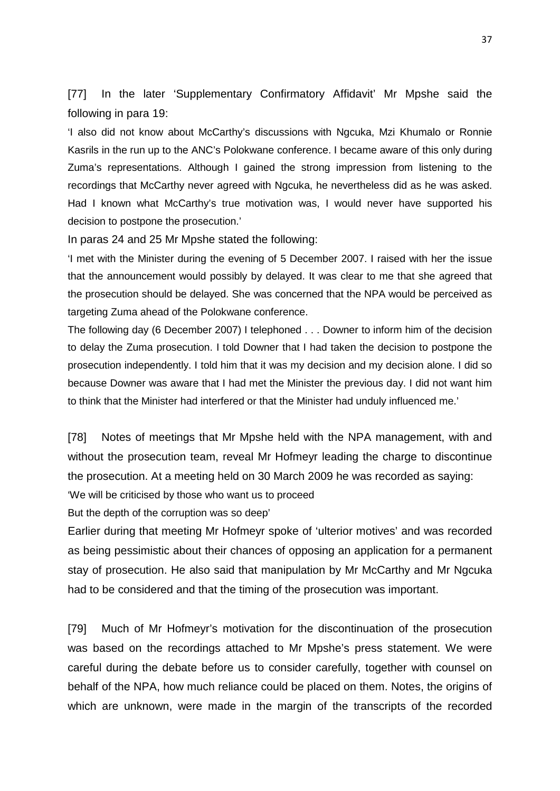[77] In the later 'Supplementary Confirmatory Affidavit' Mr Mpshe said the following in para 19:

'I also did not know about McCarthy's discussions with Ngcuka, Mzi Khumalo or Ronnie Kasrils in the run up to the ANC's Polokwane conference. I became aware of this only during Zuma's representations. Although I gained the strong impression from listening to the recordings that McCarthy never agreed with Ngcuka, he nevertheless did as he was asked. Had I known what McCarthy's true motivation was, I would never have supported his decision to postpone the prosecution.'

In paras 24 and 25 Mr Mpshe stated the following:

'I met with the Minister during the evening of 5 December 2007. I raised with her the issue that the announcement would possibly by delayed. It was clear to me that she agreed that the prosecution should be delayed. She was concerned that the NPA would be perceived as targeting Zuma ahead of the Polokwane conference.

The following day (6 December 2007) I telephoned . . . Downer to inform him of the decision to delay the Zuma prosecution. I told Downer that I had taken the decision to postpone the prosecution independently. I told him that it was my decision and my decision alone. I did so because Downer was aware that I had met the Minister the previous day. I did not want him to think that the Minister had interfered or that the Minister had unduly influenced me.'

[78] Notes of meetings that Mr Mpshe held with the NPA management, with and without the prosecution team, reveal Mr Hofmeyr leading the charge to discontinue the prosecution. At a meeting held on 30 March 2009 he was recorded as saying:

'We will be criticised by those who want us to proceed

But the depth of the corruption was so deep'

Earlier during that meeting Mr Hofmeyr spoke of 'ulterior motives' and was recorded as being pessimistic about their chances of opposing an application for a permanent stay of prosecution. He also said that manipulation by Mr McCarthy and Mr Ngcuka had to be considered and that the timing of the prosecution was important.

[79] Much of Mr Hofmeyr's motivation for the discontinuation of the prosecution was based on the recordings attached to Mr Mpshe's press statement. We were careful during the debate before us to consider carefully, together with counsel on behalf of the NPA, how much reliance could be placed on them. Notes, the origins of which are unknown, were made in the margin of the transcripts of the recorded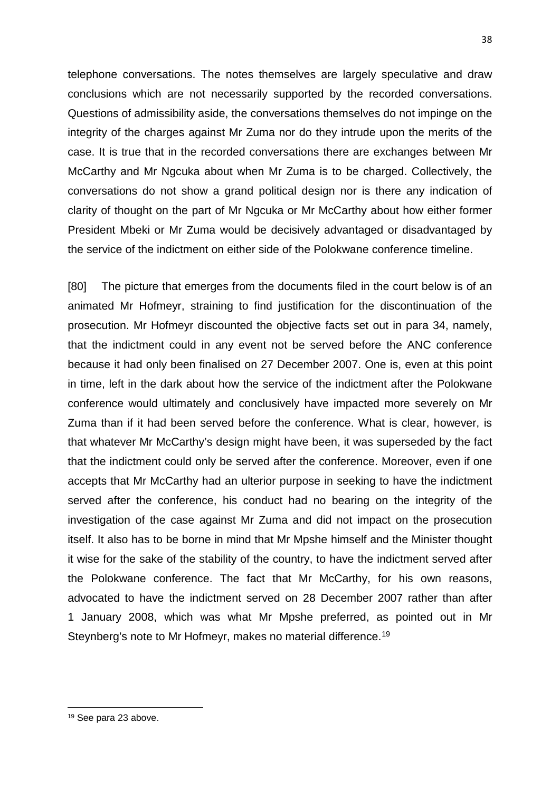telephone conversations. The notes themselves are largely speculative and draw conclusions which are not necessarily supported by the recorded conversations. Questions of admissibility aside, the conversations themselves do not impinge on the integrity of the charges against Mr Zuma nor do they intrude upon the merits of the case. It is true that in the recorded conversations there are exchanges between Mr McCarthy and Mr Ngcuka about when Mr Zuma is to be charged. Collectively, the conversations do not show a grand political design nor is there any indication of clarity of thought on the part of Mr Ngcuka or Mr McCarthy about how either former President Mbeki or Mr Zuma would be decisively advantaged or disadvantaged by the service of the indictment on either side of the Polokwane conference timeline.

[80] The picture that emerges from the documents filed in the court below is of an animated Mr Hofmeyr, straining to find justification for the discontinuation of the prosecution. Mr Hofmeyr discounted the objective facts set out in para 34, namely, that the indictment could in any event not be served before the ANC conference because it had only been finalised on 27 December 2007. One is, even at this point in time, left in the dark about how the service of the indictment after the Polokwane conference would ultimately and conclusively have impacted more severely on Mr Zuma than if it had been served before the conference. What is clear, however, is that whatever Mr McCarthy's design might have been, it was superseded by the fact that the indictment could only be served after the conference. Moreover, even if one accepts that Mr McCarthy had an ulterior purpose in seeking to have the indictment served after the conference, his conduct had no bearing on the integrity of the investigation of the case against Mr Zuma and did not impact on the prosecution itself. It also has to be borne in mind that Mr Mpshe himself and the Minister thought it wise for the sake of the stability of the country, to have the indictment served after the Polokwane conference. The fact that Mr McCarthy, for his own reasons, advocated to have the indictment served on 28 December 2007 rather than after 1 January 2008, which was what Mr Mpshe preferred, as pointed out in Mr Steynberg's note to Mr Hofmeyr, makes no material difference.<sup>[19](#page-37-0)</sup>

 $\overline{\phantom{a}}$ 

<span id="page-37-0"></span><sup>19</sup> See para 23 above.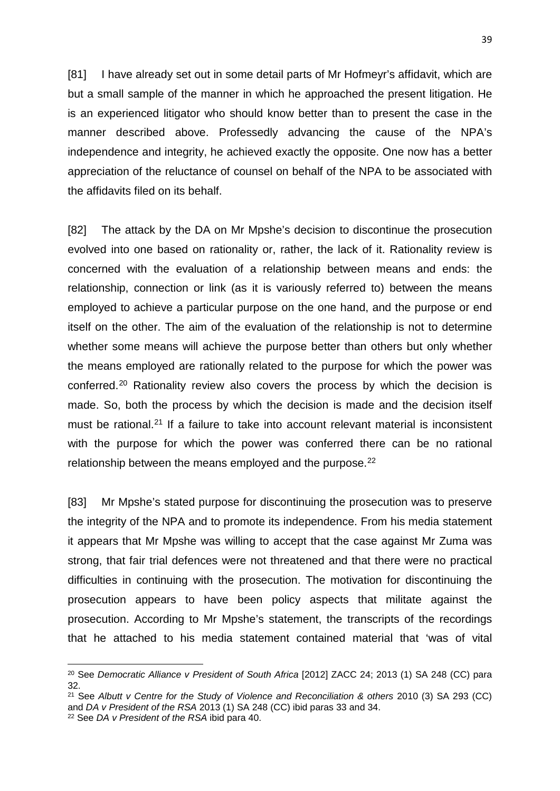[81] I have already set out in some detail parts of Mr Hofmeyr's affidavit, which are but a small sample of the manner in which he approached the present litigation. He is an experienced litigator who should know better than to present the case in the manner described above. Professedly advancing the cause of the NPA's independence and integrity, he achieved exactly the opposite. One now has a better appreciation of the reluctance of counsel on behalf of the NPA to be associated with the affidavits filed on its behalf.

[82] The attack by the DA on Mr Mpshe's decision to discontinue the prosecution evolved into one based on rationality or, rather, the lack of it. Rationality review is concerned with the evaluation of a relationship between means and ends: the relationship, connection or link (as it is variously referred to) between the means employed to achieve a particular purpose on the one hand, and the purpose or end itself on the other. The aim of the evaluation of the relationship is not to determine whether some means will achieve the purpose better than others but only whether the means employed are rationally related to the purpose for which the power was conferred.[20](#page-38-0) Rationality review also covers the process by which the decision is made. So, both the process by which the decision is made and the decision itself must be rational.<sup>[21](#page-38-1)</sup> If a failure to take into account relevant material is inconsistent with the purpose for which the power was conferred there can be no rational relationship between the means employed and the purpose.<sup>[22](#page-38-2)</sup>

[83] Mr Mpshe's stated purpose for discontinuing the prosecution was to preserve the integrity of the NPA and to promote its independence. From his media statement it appears that Mr Mpshe was willing to accept that the case against Mr Zuma was strong, that fair trial defences were not threatened and that there were no practical difficulties in continuing with the prosecution. The motivation for discontinuing the prosecution appears to have been policy aspects that militate against the prosecution. According to Mr Mpshe's statement, the transcripts of the recordings that he attached to his media statement contained material that 'was of vital

**.** 

<span id="page-38-0"></span><sup>20</sup> See *Democratic Alliance v President of South Africa* [2012] ZACC 24; 2013 (1) SA 248 (CC) para 32.

<span id="page-38-2"></span><span id="page-38-1"></span><sup>21</sup> See *Albutt v Centre for the Study of Violence and Reconciliation & others* 2010 (3) SA 293 (CC) and *DA v President of the RSA* 2013 (1) SA 248 (CC) ibid paras 33 and 34. <sup>22</sup> See *DA v President of the RSA* ibid para 40.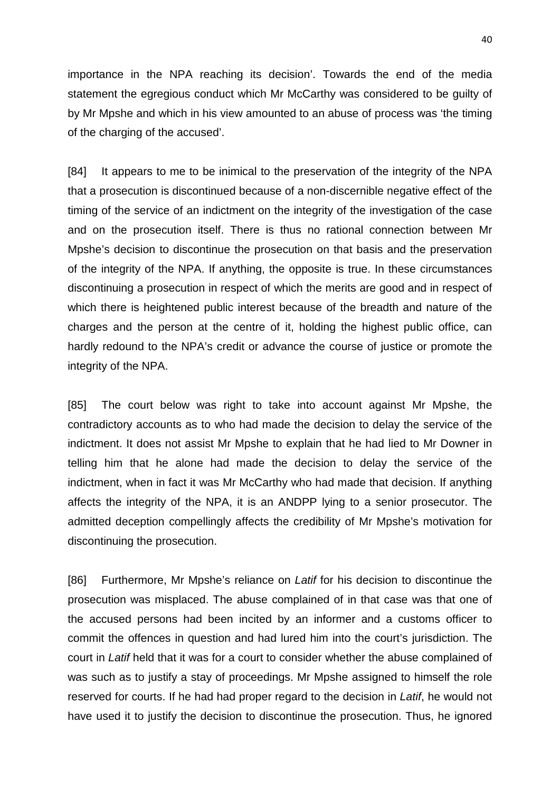importance in the NPA reaching its decision'. Towards the end of the media statement the egregious conduct which Mr McCarthy was considered to be guilty of by Mr Mpshe and which in his view amounted to an abuse of process was 'the timing of the charging of the accused'.

[84] It appears to me to be inimical to the preservation of the integrity of the NPA that a prosecution is discontinued because of a non-discernible negative effect of the timing of the service of an indictment on the integrity of the investigation of the case and on the prosecution itself. There is thus no rational connection between Mr Mpshe's decision to discontinue the prosecution on that basis and the preservation of the integrity of the NPA. If anything, the opposite is true. In these circumstances discontinuing a prosecution in respect of which the merits are good and in respect of which there is heightened public interest because of the breadth and nature of the charges and the person at the centre of it, holding the highest public office, can hardly redound to the NPA's credit or advance the course of justice or promote the integrity of the NPA.

[85] The court below was right to take into account against Mr Mpshe, the contradictory accounts as to who had made the decision to delay the service of the indictment. It does not assist Mr Mpshe to explain that he had lied to Mr Downer in telling him that he alone had made the decision to delay the service of the indictment, when in fact it was Mr McCarthy who had made that decision. If anything affects the integrity of the NPA, it is an ANDPP lying to a senior prosecutor. The admitted deception compellingly affects the credibility of Mr Mpshe's motivation for discontinuing the prosecution.

[86] Furthermore, Mr Mpshe's reliance on *Latif* for his decision to discontinue the prosecution was misplaced. The abuse complained of in that case was that one of the accused persons had been incited by an informer and a customs officer to commit the offences in question and had lured him into the court's jurisdiction. The court in *Latif* held that it was for a court to consider whether the abuse complained of was such as to justify a stay of proceedings. Mr Mpshe assigned to himself the role reserved for courts. If he had had proper regard to the decision in *Latif*, he would not have used it to justify the decision to discontinue the prosecution. Thus, he ignored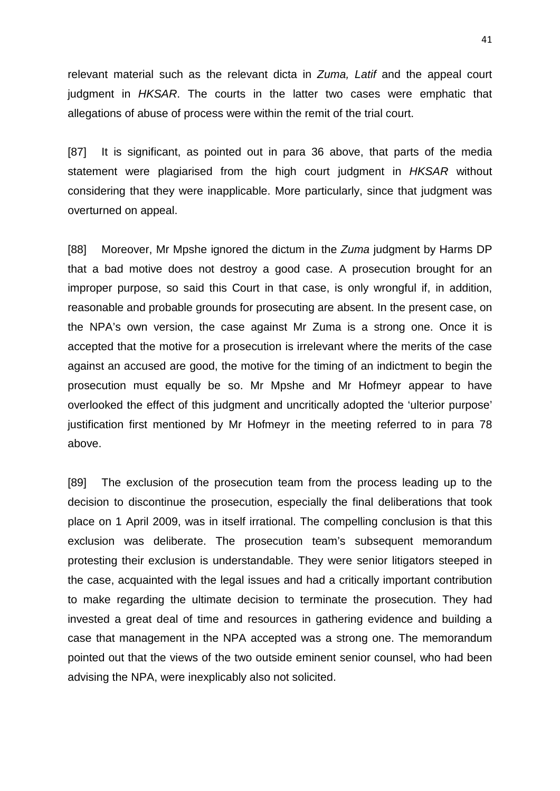relevant material such as the relevant dicta in *Zuma, Latif* and the appeal court judgment in *HKSAR*. The courts in the latter two cases were emphatic that allegations of abuse of process were within the remit of the trial court.

[87] It is significant, as pointed out in para 36 above, that parts of the media statement were plagiarised from the high court judgment in *HKSAR* without considering that they were inapplicable. More particularly, since that judgment was overturned on appeal.

[88] Moreover, Mr Mpshe ignored the dictum in the *Zuma* judgment by Harms DP that a bad motive does not destroy a good case. A prosecution brought for an improper purpose, so said this Court in that case, is only wrongful if, in addition, reasonable and probable grounds for prosecuting are absent. In the present case, on the NPA's own version, the case against Mr Zuma is a strong one. Once it is accepted that the motive for a prosecution is irrelevant where the merits of the case against an accused are good, the motive for the timing of an indictment to begin the prosecution must equally be so. Mr Mpshe and Mr Hofmeyr appear to have overlooked the effect of this judgment and uncritically adopted the 'ulterior purpose' justification first mentioned by Mr Hofmeyr in the meeting referred to in para 78 above.

[89] The exclusion of the prosecution team from the process leading up to the decision to discontinue the prosecution, especially the final deliberations that took place on 1 April 2009, was in itself irrational. The compelling conclusion is that this exclusion was deliberate. The prosecution team's subsequent memorandum protesting their exclusion is understandable. They were senior litigators steeped in the case, acquainted with the legal issues and had a critically important contribution to make regarding the ultimate decision to terminate the prosecution. They had invested a great deal of time and resources in gathering evidence and building a case that management in the NPA accepted was a strong one. The memorandum pointed out that the views of the two outside eminent senior counsel, who had been advising the NPA, were inexplicably also not solicited.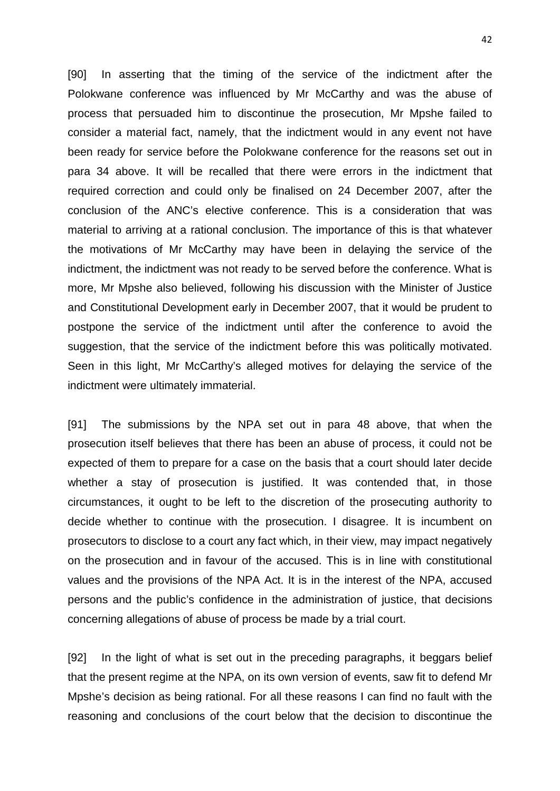[90] In asserting that the timing of the service of the indictment after the Polokwane conference was influenced by Mr McCarthy and was the abuse of process that persuaded him to discontinue the prosecution, Mr Mpshe failed to consider a material fact, namely, that the indictment would in any event not have been ready for service before the Polokwane conference for the reasons set out in para 34 above. It will be recalled that there were errors in the indictment that required correction and could only be finalised on 24 December 2007, after the conclusion of the ANC's elective conference. This is a consideration that was material to arriving at a rational conclusion. The importance of this is that whatever the motivations of Mr McCarthy may have been in delaying the service of the indictment, the indictment was not ready to be served before the conference. What is more, Mr Mpshe also believed, following his discussion with the Minister of Justice and Constitutional Development early in December 2007, that it would be prudent to postpone the service of the indictment until after the conference to avoid the suggestion, that the service of the indictment before this was politically motivated. Seen in this light, Mr McCarthy's alleged motives for delaying the service of the indictment were ultimately immaterial.

[91] The submissions by the NPA set out in para 48 above, that when the prosecution itself believes that there has been an abuse of process, it could not be expected of them to prepare for a case on the basis that a court should later decide whether a stay of prosecution is justified. It was contended that, in those circumstances, it ought to be left to the discretion of the prosecuting authority to decide whether to continue with the prosecution. I disagree. It is incumbent on prosecutors to disclose to a court any fact which, in their view, may impact negatively on the prosecution and in favour of the accused. This is in line with constitutional values and the provisions of the NPA Act. It is in the interest of the NPA, accused persons and the public's confidence in the administration of justice, that decisions concerning allegations of abuse of process be made by a trial court.

[92] In the light of what is set out in the preceding paragraphs, it beggars belief that the present regime at the NPA, on its own version of events, saw fit to defend Mr Mpshe's decision as being rational. For all these reasons I can find no fault with the reasoning and conclusions of the court below that the decision to discontinue the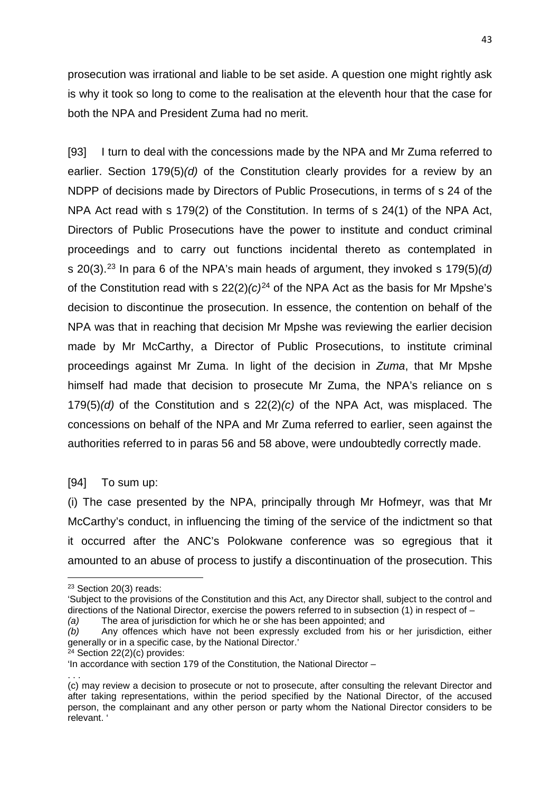prosecution was irrational and liable to be set aside. A question one might rightly ask is why it took so long to come to the realisation at the eleventh hour that the case for both the NPA and President Zuma had no merit.

[93] I turn to deal with the concessions made by the NPA and Mr Zuma referred to earlier. Section 179(5)*(d)* of the Constitution clearly provides for a review by an NDPP of decisions made by Directors of Public Prosecutions, in terms of s 24 of the NPA Act read with s 179(2) of the Constitution. In terms of s 24(1) of the NPA Act, Directors of Public Prosecutions have the power to institute and conduct criminal proceedings and to carry out functions incidental thereto as contemplated in s 20(3). [23](#page-42-0) In para 6 of the NPA's main heads of argument, they invoked s 179(5)*(d)* of the Constitution read with s  $22(2)(c)^{24}$  $22(2)(c)^{24}$  $22(2)(c)^{24}$  of the NPA Act as the basis for Mr Mpshe's decision to discontinue the prosecution. In essence, the contention on behalf of the NPA was that in reaching that decision Mr Mpshe was reviewing the earlier decision made by Mr McCarthy, a Director of Public Prosecutions, to institute criminal proceedings against Mr Zuma. In light of the decision in *Zuma*, that Mr Mpshe himself had made that decision to prosecute Mr Zuma, the NPA's reliance on s 179(5)*(d)* of the Constitution and s 22(2)*(c)* of the NPA Act, was misplaced. The concessions on behalf of the NPA and Mr Zuma referred to earlier, seen against the authorities referred to in paras 56 and 58 above, were undoubtedly correctly made.

# [94] To sum up:

(i) The case presented by the NPA, principally through Mr Hofmeyr, was that Mr McCarthy's conduct, in influencing the timing of the service of the indictment so that it occurred after the ANC's Polokwane conference was so egregious that it amounted to an abuse of process to justify a discontinuation of the prosecution. This

<u>.</u>

<span id="page-42-1"></span><sup>24</sup> Section 22(2)(c) provides:

<span id="page-42-0"></span><sup>23</sup> Section 20(3) reads:

<sup>&#</sup>x27;Subject to the provisions of the Constitution and this Act, any Director shall, subject to the control and directions of the National Director, exercise the powers referred to in subsection (1) in respect of – *(a)* The area of jurisdiction for which he or she has been appointed; and

*<sup>(</sup>b)* Any offences which have not been expressly excluded from his or her jurisdiction, either generally or in a specific case, by the National Director.'

<sup>&#</sup>x27;In accordance with section 179 of the Constitution, the National Director –

<sup>. . .</sup> (c) may review a decision to prosecute or not to prosecute, after consulting the relevant Director and after taking representations, within the period specified by the National Director, of the accused person, the complainant and any other person or party whom the National Director considers to be relevant. '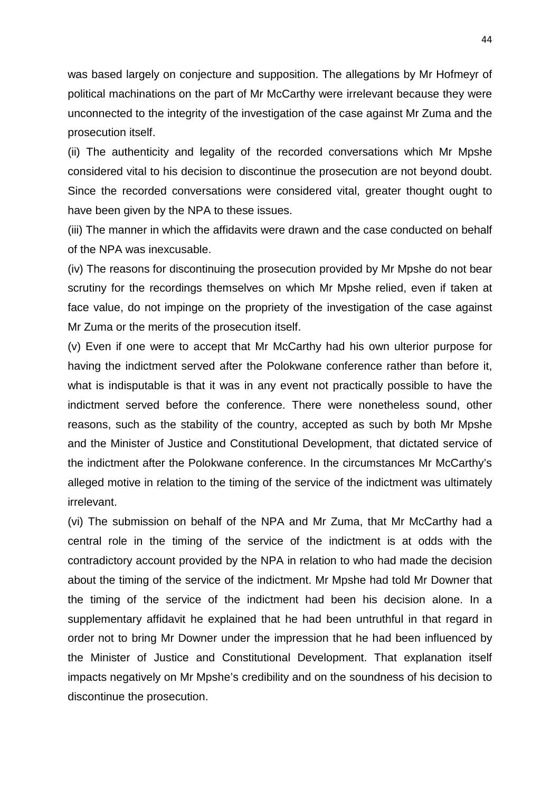was based largely on conjecture and supposition. The allegations by Mr Hofmeyr of political machinations on the part of Mr McCarthy were irrelevant because they were unconnected to the integrity of the investigation of the case against Mr Zuma and the prosecution itself.

(ii) The authenticity and legality of the recorded conversations which Mr Mpshe considered vital to his decision to discontinue the prosecution are not beyond doubt. Since the recorded conversations were considered vital, greater thought ought to have been given by the NPA to these issues.

(iii) The manner in which the affidavits were drawn and the case conducted on behalf of the NPA was inexcusable.

(iv) The reasons for discontinuing the prosecution provided by Mr Mpshe do not bear scrutiny for the recordings themselves on which Mr Mpshe relied, even if taken at face value, do not impinge on the propriety of the investigation of the case against Mr Zuma or the merits of the prosecution itself.

(v) Even if one were to accept that Mr McCarthy had his own ulterior purpose for having the indictment served after the Polokwane conference rather than before it, what is indisputable is that it was in any event not practically possible to have the indictment served before the conference. There were nonetheless sound, other reasons, such as the stability of the country, accepted as such by both Mr Mpshe and the Minister of Justice and Constitutional Development, that dictated service of the indictment after the Polokwane conference. In the circumstances Mr McCarthy's alleged motive in relation to the timing of the service of the indictment was ultimately irrelevant.

(vi) The submission on behalf of the NPA and Mr Zuma, that Mr McCarthy had a central role in the timing of the service of the indictment is at odds with the contradictory account provided by the NPA in relation to who had made the decision about the timing of the service of the indictment. Mr Mpshe had told Mr Downer that the timing of the service of the indictment had been his decision alone. In a supplementary affidavit he explained that he had been untruthful in that regard in order not to bring Mr Downer under the impression that he had been influenced by the Minister of Justice and Constitutional Development. That explanation itself impacts negatively on Mr Mpshe's credibility and on the soundness of his decision to discontinue the prosecution.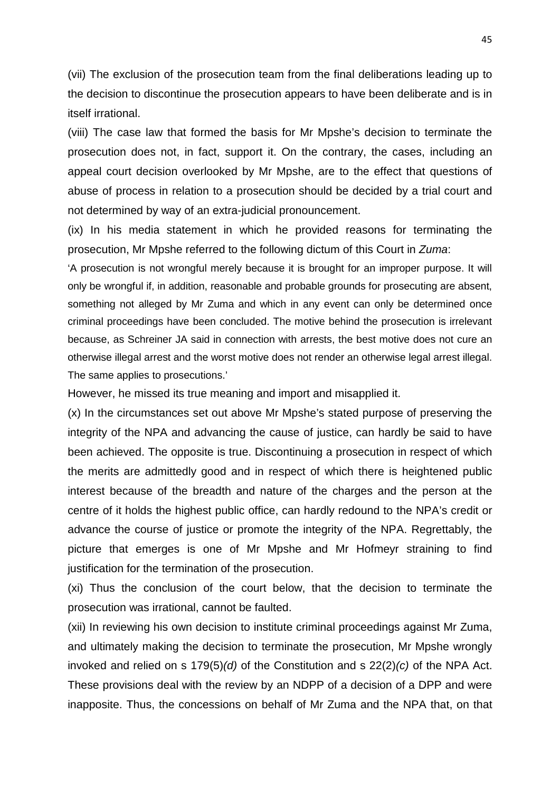(vii) The exclusion of the prosecution team from the final deliberations leading up to the decision to discontinue the prosecution appears to have been deliberate and is in itself irrational.

(viii) The case law that formed the basis for Mr Mpshe's decision to terminate the prosecution does not, in fact, support it. On the contrary, the cases, including an appeal court decision overlooked by Mr Mpshe, are to the effect that questions of abuse of process in relation to a prosecution should be decided by a trial court and not determined by way of an extra-judicial pronouncement.

(ix) In his media statement in which he provided reasons for terminating the prosecution, Mr Mpshe referred to the following dictum of this Court in *Zuma*:

'A prosecution is not wrongful merely because it is brought for an improper purpose. It will only be wrongful if, in addition, reasonable and probable grounds for prosecuting are absent, something not alleged by Mr Zuma and which in any event can only be determined once criminal proceedings have been concluded. The motive behind the prosecution is irrelevant because, as Schreiner JA said in connection with arrests, the best motive does not cure an otherwise illegal arrest and the worst motive does not render an otherwise legal arrest illegal. The same applies to prosecutions.'

However, he missed its true meaning and import and misapplied it.

(x) In the circumstances set out above Mr Mpshe's stated purpose of preserving the integrity of the NPA and advancing the cause of justice, can hardly be said to have been achieved. The opposite is true. Discontinuing a prosecution in respect of which the merits are admittedly good and in respect of which there is heightened public interest because of the breadth and nature of the charges and the person at the centre of it holds the highest public office, can hardly redound to the NPA's credit or advance the course of justice or promote the integrity of the NPA. Regrettably, the picture that emerges is one of Mr Mpshe and Mr Hofmeyr straining to find justification for the termination of the prosecution.

(xi) Thus the conclusion of the court below, that the decision to terminate the prosecution was irrational, cannot be faulted.

(xii) In reviewing his own decision to institute criminal proceedings against Mr Zuma, and ultimately making the decision to terminate the prosecution, Mr Mpshe wrongly invoked and relied on s 179(5)*(d)* of the Constitution and s 22(2)*(c)* of the NPA Act. These provisions deal with the review by an NDPP of a decision of a DPP and were inapposite. Thus, the concessions on behalf of Mr Zuma and the NPA that, on that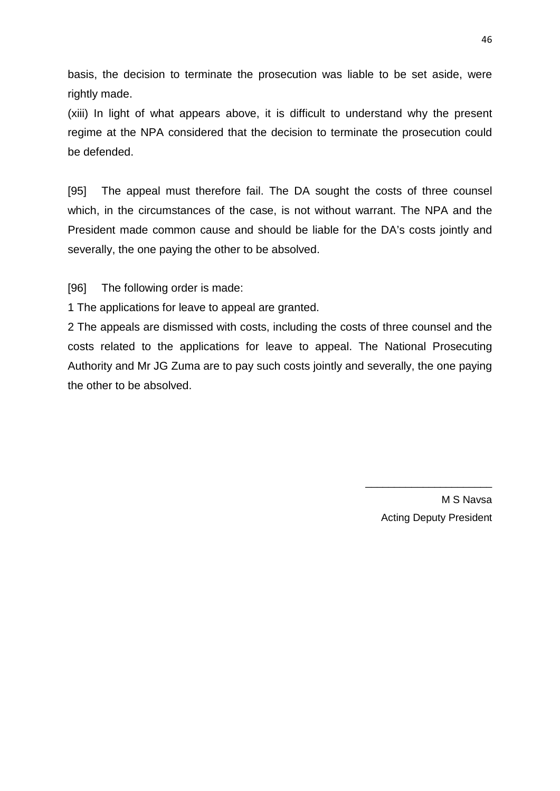basis, the decision to terminate the prosecution was liable to be set aside, were rightly made.

(xiii) In light of what appears above, it is difficult to understand why the present regime at the NPA considered that the decision to terminate the prosecution could be defended.

[95] The appeal must therefore fail. The DA sought the costs of three counsel which, in the circumstances of the case, is not without warrant. The NPA and the President made common cause and should be liable for the DA's costs jointly and severally, the one paying the other to be absolved.

[96] The following order is made:

1 The applications for leave to appeal are granted.

2 The appeals are dismissed with costs, including the costs of three counsel and the costs related to the applications for leave to appeal. The National Prosecuting Authority and Mr JG Zuma are to pay such costs jointly and severally, the one paying the other to be absolved.

> M S Navsa Acting Deputy President

 $\overline{\phantom{a}}$  , where  $\overline{\phantom{a}}$  , where  $\overline{\phantom{a}}$  , where  $\overline{\phantom{a}}$